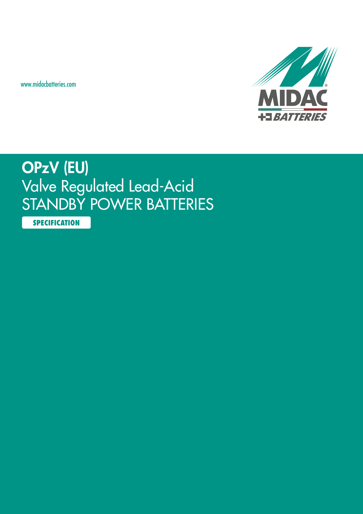www.midacbatteries.com



## OPzV (EU) Valve Regulated Lead-Acid STANDBY POWER BATTERIES

**SPECIFICATION**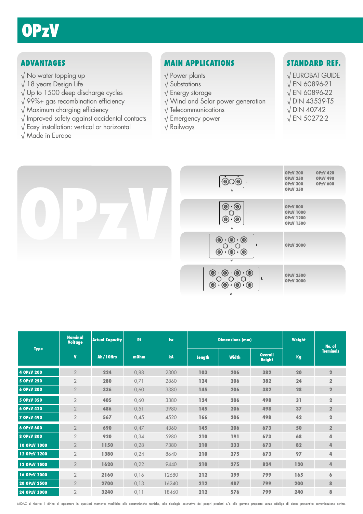## ADVANTAGES

- √ No water topping up
- √ 18 years Design Life
- √ Up to 1500 deep discharge cycles
- √ 99%+ gas recombination efficiency
- √ Maximum charging efficiency
- √ Improved safety against accidental contacts
- √ Easy installation: vertical or horizontal
- √ Made in Europe

## MAIN APPLICATIONS

- √ Power plants
- √ Substations
- √ Energy storage
- √ Wind and Solar power generation
- √ Telecommunications
- √ Emergency power
- √ Railways

## STANDARD REF.

- √ EUROBAT GUIDE
- √ EN 60896-21
- √ EN 60896-22
- √ DIN 43539-T5
- √ DIN 40742
- √ EN 50272-2



| ۰<br>-<br>ío.<br>O<br>L<br>W                                                   | <b>OPzV 200</b><br><b>OPzV 420</b><br><b>OPzV 250</b><br><b>OPzV 490</b><br><b>OPzV 300</b><br><b>OPzV 600</b><br><b>OPzV 350</b> |
|--------------------------------------------------------------------------------|-----------------------------------------------------------------------------------------------------------------------------------|
| Ó<br>0<br>L<br>Ó<br>(@<br>W                                                    | <b>OPzV 800</b><br><b>OPzV 1000</b><br><b>OPzV 1200</b><br><b>OPzV 1500</b>                                                       |
| (©)<br>(©)<br>0<br>L<br>Ó<br>(0<br>Ó<br>W                                      | <b>OPzV 2000</b>                                                                                                                  |
| 0<br>(©)<br>۱<br>$\bullet$<br>L<br>()<br>$\circledcirc$<br>@)<br>(@)<br>Ó<br>W | <b>OPzV 2500</b><br><b>OPzV 3000</b>                                                                                              |

|                   | <b>Nominal</b><br><b>Voltage</b> | <b>Actual Capacity</b> | <b>Ri</b> | <b>Isc</b> |        | <b>Dimensions (mm)</b> |                                 | Weight | No. of           |
|-------------------|----------------------------------|------------------------|-----------|------------|--------|------------------------|---------------------------------|--------|------------------|
| <b>Type</b>       | $\mathbf{V}$                     | Ah/10Hrs               | mOhm      | kA         | Length | <b>Width</b>           | <b>Overall</b><br><b>Height</b> | Kg     | <b>Terminals</b> |
| 4 OPzV 200        | $\overline{2}$                   | 224                    | 0,88      | 2300       | 103    | 206                    | 382                             | 20     | $\overline{2}$   |
| 5 OPzV 250        | $\overline{2}$                   | 280                    | 0,71      | 2860       | 124    | 206                    | 382                             | 24     | $\overline{2}$   |
| 6 OPzV 300        | $\overline{2}$                   | 336                    | 0,60      | 3380       | 145    | 206                    | 382                             | 28     | $\overline{2}$   |
| 5 OPzV 350        | $\overline{2}$                   | 405                    | 0,60      | 3380       | 124    | 206                    | 498                             | 31     | $\overline{2}$   |
| 6 OPzV 420        | $\overline{2}$                   | 486                    | 0,51      | 3980       | 145    | 206                    | 498                             | 37     | $\overline{2}$   |
| <b>7 OPzV 490</b> | $\overline{2}$                   | 567                    | 0,45      | 4520       | 166    | 206                    | 498                             | 42     | $\overline{2}$   |
| 6 OPzV 600        | $\sqrt{2}$                       | 690                    | 0,47      | 4360       | 145    | 206                    | 673                             | 50     | $\overline{2}$   |
| 8 OPzV 800        | $\overline{2}$                   | 920                    | 0,34      | 5980       | 210    | 191                    | 673                             | 68     | 4                |
| 10 OPzV 1000      | $\overline{2}$                   | 1150                   | 0,28      | 7380       | 210    | 233                    | 673                             | 82     | 4                |
| 12 OPzV 1200      | $\overline{2}$                   | 1380                   | 0,24      | 8640       | 210    | 275                    | 673                             | 97     | 4                |
| 12 OPzV 1500      | $\overline{2}$                   | 1620                   | 0,22      | 9440       | 210    | 275                    | 824                             | 120    | 4                |
| 16 OPzV 2000      | $\overline{2}$                   | 2160                   | 0,16      | 12680      | 212    | 399                    | 799                             | 165    | 6                |
| 20 OPzV 2500      | $\overline{2}$                   | 2700                   | 0,13      | 16240      | 212    | 487                    | 799                             | 200    | 8                |
| 24 OPzV 3000      | $\overline{2}$                   | 3240                   | 0,11      | 18460      | 212    | 576                    | 799                             | 240    | 8                |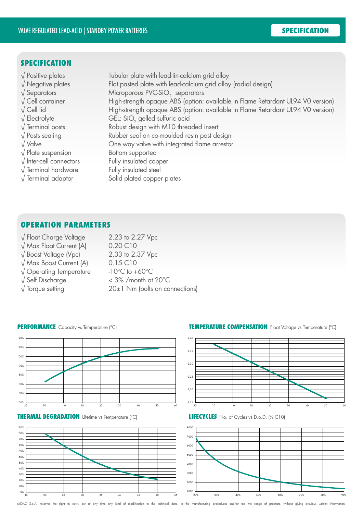### **SPECIFICATION**

 $\sqrt{\frac{1}{2}}$  Positive plates Tubular plate with lead-tin-calcium grid alloy √ Negative plates Flat pasted plate with lead-calcium grid alloy (radial design)  $\sqrt{\phantom{a}}$  Separators Microporous PVC-SiO<sub>2</sub> separators<br>  $\sqrt{\phantom{a}}$  Cell container High-strength opgaue ABS (option: High-strength opaque ABS (option: available in Flame Retardant UL94 V0 version) √ Cell lid High-strength opaque ABS (option: available in Flame Retardant UL94 V0 version) √ Electrolyte GEL: SiO<sub>2</sub> gelled sulfuric acid<br>√ Terminal posts Robust design with M10 threc Robust design with M10 threaded insert √ Posts sealing Rubber seal on co-moulded resin post design √ Valve One way valve with integrated flame arrestor √ Plate suspension Bottom supported √ Inter-cell connectors Fully insulated copper √ Terminal hardware Fully insulated steel √ Terminal adaptor Solid plated copper plates

## OPERATION PARAMETERS

- √ Float Charge Voltage 2.23 to 2.27 Vpc
- √ Max Float Current (A) 0.20 C10
- 
- √ Max Boost Current (A) 0.15 C10
- 
- 
- 

 $\sqrt{3}$  Boost Voltage (Vpc) 2.33 to 2.37 Vpc √ Operating Temperature -10°C to +60°C  $\sqrt{\text{Self}}$  Discharge  $\sqrt{\text{Self}}$   $\sqrt{\text{Self}}$  $\sqrt{\frac{1}{20}}$  Torque setting 20±1 Nm (bolts on connections)

#### PERFORMANCE Capacity vs Temperature (°C)







#### TEMPERATURE COMPENSATION Float Voltage vs Temperature (°C)



LIFECYCLES No. of Cycles vs D.o.D. (% C10)

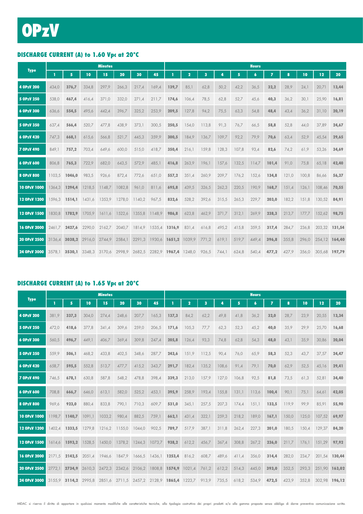## DISCHARGE CURRENT (A) to 1.60 Vpc at 20°C

|                   |        |               |                      | <b>Minutes</b> |        |        |                             |               |                         |                         |       |       | <b>Hours</b> |       |       |       |               |       |
|-------------------|--------|---------------|----------------------|----------------|--------|--------|-----------------------------|---------------|-------------------------|-------------------------|-------|-------|--------------|-------|-------|-------|---------------|-------|
| <b>Type</b>       | T.     | 5             | 10                   | 15             | 20     | 30     | 45                          |               | $\overline{\mathbf{2}}$ | $\overline{\mathbf{3}}$ | 4     | 5     | 6            | 7     | 8     | 10    | 12            | 20    |
| 4 OPzV 200        | 434,0  | 376,7         | 334,8                | 297,9          | 266,3  | 217,4  | 169,4                       | 139,7         | 85,1                    | 62,8                    | 50,2  | 42,2  | 36,5         | 32,2  | 28,9  | 24,1  | 20,71         | 13,44 |
| 5 OPzV 250        | 538,0  | 467,4         | 416,4                | 371,0          | 332,0  | 271,4  | 211,7                       | 174,6         | 106,4                   | 78,5                    | 62,8  | 52,7  | 45,6         | 40,3  | 36,2  | 30,1  | 25,90         | 16,81 |
| 6 OPzV 300        | 636,6  | 554,5         | 495,6                | 442,4          | 396,7  | 325,2  | 253,9                       | 209,5         | 127,8                   | 94,2                    | 75,5  | 63,3  | 54,8         | 48,4  | 43,4  | 36,2  | 31,10         | 20,19 |
| 5 OPzV 350        | 637,4  | 566,4         | 520,7                | 477,8          | 438,9  | 373,1  | 300,5                       | 250,5         | 154,0                   | 113,8                   | 91,3  | 76,7  | 66,5         | 58,8  | 52,8  | 44,0  | 37,89         | 24,67 |
| 6 OPzV 420        | 747,3  | 668,1         | 615,6                | 566,8          | 521,7  | 445,3  | 359,9                       | 300,5         | 184,9                   | 136,7                   | 109,7 | 92,2  | 79,9         | 70,6  | 63,4  | 52,9  | 45,54         | 29,65 |
| <b>7 OPzV 490</b> | 849,1  | 757,2         | 703,4                | 649,6          | 600,0  | 515,0  | 418,7                       | 350,4         | 216,1                   | 159,8                   | 128,3 | 107,8 | 93,4         | 82,6  | 74,2  | 61,9  | 53,26         | 34,69 |
| 6 OPzV 600        | 806,8  | 765,3         | 722,9                | 682,0          | 643,5  | 572,9  | 485,1                       | 416,8         | 263,9                   | 196,1                   | 157,6 | 132,5 | 114,7        | 101,4 | 91,0  | 75,8  | 65,18         | 42,40 |
| 8 OPzV 800        | 1103.5 | 1046,0        | 983,5                | 926,6          | 872,4  | 772,6  | 651,0                       | 557,2         | 351,4                   | 260,9                   | 209,7 | 176,2 | 152,6        | 134,8 | 121,0 | 100,8 | 86,66         | 56,37 |
| 10 OPzV 1000      | 1364.3 | 1294,4        | 1218,5               | 1148,7         | 1082,8 | 961,0  | 811,6                       | 695,8         | 439,5                   | 326,5                   | 262,3 | 220,5 | 190,9        | 168,7 | 151,4 | 126,1 | 108,46        | 70,55 |
| 12 OPzV 1200      | 1596.3 | 1514.1        | 1431,6               | 1353.9         | 1278,0 | 1140,2 | 967,5                       | 832,6         | 528,2                   | 392,6                   | 315,5 | 265,3 | 229,7        | 203,0 | 182,2 | 151,8 | 130,52        | 84,91 |
| 12 OPzV 1500      | 1830.8 | 1782.9        | 1705,9               | 1611.6         | 1522.6 | 1355.8 | 1148.9                      | 986,8         | 623.8                   | 462.9                   | 371,7 | 312,1 | 269,9        | 238,3 | 213,7 | 177.7 | 152.62        | 98,75 |
| 16 OPzV 2000      |        | 2461,7 2427,6 | 2290,0               | 2162,7         | 2040,7 |        | 1814,9 1535,4 1316,9        |               | 831,4                   | 616,8                   | 495,2 | 415,8 | 359,5        | 317,4 | 284,7 | 236,8 | 203,32 131,54 |       |
| 20 OPzV 2500      | 3136.4 | 3038,2        | 2916,0               | 2744.9         | 2584.1 | 2291,3 |                             | 1930,6 1651,2 | 1039,9                  | 771,2                   | 619,1 | 519,7 | 449,4        | 396,8 | 355,8 | 296,0 | 254,12 164,40 |       |
| 24 OPzV 3000      | 3578.1 |               | 3530.1 3348.3 3170.6 |                | 2998.9 |        | 2682,5 2282,9 1967,4 1248,0 |               |                         | 926,5                   | 744.1 | 624,8 | 540.4        | 477,2 | 427.9 | 356.0 | 305.68 197.79 |       |

#### DISCHARGE CURRENT (A) to 1.65 Vpc at 20°C

|                   |        |               |        | <b>Minutes</b> |        |        |                      |               |              |                         |       |       | <b>Hours</b>     |                |       |       |        |        |
|-------------------|--------|---------------|--------|----------------|--------|--------|----------------------|---------------|--------------|-------------------------|-------|-------|------------------|----------------|-------|-------|--------|--------|
| <b>Type</b>       | п      | 5             | 10     | 15             | 20     | 30     | 45                   |               | $\mathbf{2}$ | $\overline{\mathbf{3}}$ | 4     | 5     | $\boldsymbol{6}$ | $\overline{ }$ | 8     | 10    | 12     | 20     |
| <b>4 OPzV 200</b> | 381,9  | 337,3         | 304,0  | 274,4          | 248,6  | 207,7  | 165,3                | 137,3         | 84,2         | 62,2                    | 49,8  | 41,8  | 36,2             | 32,0           | 28,7  | 23,9  | 20,55  | 13,34  |
| 5 OPzV 250        | 472,0  | 418,6         | 377,8  | 341,4          | 309,6  | 259,0  | 206,5                | 171,6         | 105,3        | 77,7                    | 62,3  | 52,3  | 45,2             | 40,0           | 35,9  | 29,9  | 25,70  | 16,68  |
| 6 OPzV 300        | 560.5  | 496,7         | 449,1  | 406,7          | 369,4  | 309,8  | 247.4                | 205,8         | 126.4        | 93.3                    | 74,8  | 62,8  | 54,3             | 48,0           | 43,1  | 35.9  | 30,86  | 20,04  |
| 5 OPzV 350        | 559,9  | 506,1         | 468,2  | 433,8          | 402,5  | 348,6  | 287,7                | 243,6         | 151,9        | 112,5                   | 90,4  | 76,0  | 65,9             | 58,3           | 52,3  | 43,7  | 37,57  | 24,47  |
| 6 OPzV 420        | 658.7  | 595,5         | 552,8  | 513,7          | 477,7  | 415,2  | 343,7                | 291,7         | 182,4        | 135,2                   | 108,6 | 91,4  | 79,1             | 70,0           | 62,9  | 52,5  | 45,16  | 29,41  |
| <b>7 OPzV 490</b> | 746,5  | 678,1         | 630,8  | 587,8          | 548,2  | 478,8  | 398,4                | 339,3         | 213,0        | 157,9                   | 127,0 | 106,8 | 92,5             | 81,8           | 73,5  | 61,3  | 52,81  | 34,40  |
| 6 OPzV 600        | 708.8  | 666,7         | 646,0  | 613,1          | 582,0  | 525,2  | 453,1                | 395,9         | 258,9        | 193,4                   | 155,8 | 131,1 | 113,6            | 100,4          | 90,1  | 75,1  | 64,61  | 42,05  |
| 8 OPzV 800        | 969.6  | 923,0         | 880,4  | 833,8          | 790,1  | 710,3  | 609,7                | 531,0         | 345,1        | 257,5                   | 207,3 | 174,4 | 151,1            | 133,5          | 119,9 | 99,9  | 85,91  | 55,90  |
| 10 OPzV 1000      | 1198.7 | 1140,7        | 1091,1 | 1033,2         | 980,4  | 882,5  | 759,1                | 662,1         | 431,4        | 322,1                   | 259,3 | 218,2 | 189,0            | 167,1          | 150,0 | 125,0 | 107,52 | 69,97  |
| 12 OPzV 1200      | 1402.4 | 1333,5        | 1279.8 | 1216.2         | 1155.0 | 1044.0 | 902,5                | 789.7         | 517.9        | 387.1                   | 311,8 | 262,4 | 227,3            | 201,0          | 180,5 | 150.4 | 129.37 | 84,20  |
| 12 OPzV 1500      | 1614.6 | 1593.2        | 1528.5 | 1450.0         | 1378.2 | 1244.3 | 1073.7               | 938.2         | 612,2        | 456,7                   | 367.4 | 308.8 | 267,2            | 236,0          | 211,7 | 176.1 | 151.29 | 97.92  |
| 16 OPzV 2000      | 2171.5 | 2142,5        | 2051,4 | 1946,6         | 1847,9 | 1666,5 | 1436,1 1253,4        |               | 816,2        | 608,7                   | 489,6 | 411,4 | 356,0            | 314,4          | 282,0 | 234,7 | 201,54 | 130,44 |
| 20 OPzV 2500      | 2772.1 | 2734.9        | 2610.3 | 2472.3         | 2342.6 | 2106,2 |                      | 1808,8 1574,9 | 1021,4       | 761,2                   | 612,2 | 514,3 | 445,0            | 393,0          | 352,5 | 293.3 | 251.90 | 163,02 |
| 24 OPzV 3000      |        | 3155,9 3114,2 | 2995,8 | 2851,6         | 2711,5 |        | 2457,2 2128,9 1865,4 |               | 1223,7       | 913,9                   | 735,5 | 618,2 | 534,9            | 472,5          | 423,9 | 352,8 | 302,98 | 196,12 |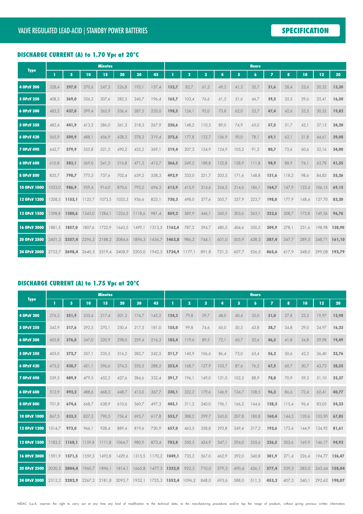### DISCHARGE CURRENT (A) to 1.70 Vpc at 20°C

|                   |        |                |                             | <b>Minutes</b> |        |        |                                    |        |                |       |       |       | <b>Hours</b>     |                |       |       |               |        |
|-------------------|--------|----------------|-----------------------------|----------------|--------|--------|------------------------------------|--------|----------------|-------|-------|-------|------------------|----------------|-------|-------|---------------|--------|
| <b>Type</b>       | T      | 5 <sup>1</sup> | 10                          | 15             | 20     | 30     | 45                                 |        | $\overline{2}$ | 3     | 4     | 5     | $\boldsymbol{6}$ | $\overline{I}$ | 8     | 10    | 12            | 20     |
| 4 OPzV 200        | 328,4  | 297,0          | 270,6                       | 247,3          | 226,8  | 193,1  | 157,4                              | 132,7  | 82,7           | 61,3  | 49,2  | 41,3  | 35,7             | 31,6           | 28,4  | 23,6  | 20,32         | 13,20  |
| 5 OPzV 250        | 408,3  | 369,0          | 336,3                       | 307,6          | 282,3  | 240,7  | 196,4                              | 165,7  | 103,4          | 76,6  | 61,5  | 51,6  | 44,7             | 39,5           | 35,5  | 29,6  | 25,41         | 16,50  |
| 6 OPzV 300        | 483,2  | 437,0          | 399,4                       | 365,9          | 336,4  | 287,5  | 235,0                              | 198,5  | 124,1          | 92,0  | 73,8  | 62,0  | 53,7             | 47,4           | 42,6  | 35,5  | 30,52         | 19,82  |
| 5 OPzV 350        | 482,4  | 441,9          | 413,2                       | 386,0          | 361,3  | 318,3  | 267,9                              | 230,6  | 148,2          | 110,5 | 89,0  | 74,9  | 65,0             | 57,5           | 51,7  | 43,1  | 37,13         | 24,20  |
| 6 OPzV 420        | 565,9  | 509,9          | 488,1                       | 456,9          | 428,3  | 378,3  | 319,4                              | 275,6  | 177,8          | 132,7 | 106,9 | 90,0  | 78,1             | 69,1           | 62,1  | 51,8  | 44,61         | 29,08  |
| <b>7 OPzV 490</b> | 642,7  | 579,9          | 555,8                       | 521,5          | 490,2  | 435,2  | 369,1                              | 319,4  | 207,3          | 154,9 | 124,9 | 105,2 | 91,2             | 80,7           | 72,6  | 60,6  | 52,16         | 34,00  |
| 6 OPzV 600        | 610,8  | 583,1          | 569,0                       | 541,5          | 516,8  | 471,5  | 413,7                              | 366,5  | 249,2          | 188,8 | 152,8 | 128,9 | 111,8            | 98,9           | 88,9  | 74,1  | 63,78         | 41,55  |
| 8 OPzV 800        | 835,7  | 798,7          | 775,3                       | 737,6          | 702,4  | 639,2  | 558,3                              | 492,9  | 333,0          | 251,7 | 203,5 | 171,6 | 148,8            | 131,6          | 118,2 | 98,6  | 84,83         | 55,26  |
| 10 OPzV 1000      | 1033,0 | 986,9          | 959,4                       | 914,0          | 870,6  | 793,2  | 694,3                              | 613,9  | 415,9          | 314,6 | 254,5 | 214,6 | 186,1            | 164,7          | 147,9 | 123,4 | 106,15        | 69,15  |
| 12 OPzV 1200      | 1208.5 | 1153,1         | 1125,7                      | 1073,5         | 1025,3 | 936,6  | 823,1                              | 730,3  | 498,0          | 377,6 | 305,7 | 257,9 | 223,7            | 198,0          | 177,9 | 148,4 | 127,70        | 83,20  |
| 12 OPzV 1500      | 1398.8 | 1380,6         | 1343,0                      | 1284,1         | 1224,5 | 1118,6 | 981,4                              | 869,2  | 589,9          | 446,1 | 360,5 | 303,6 | 263,1            | 232,6          | 208,7 | 173,8 | 149,36        | 96,76  |
| 16 OPzV 2000      | 1881.5 | 1857.0         | 1807,6                      | 1722,9         | 1643,5 | 1499.1 | 1313,5 1162,4                      |        | 787,2          | 594,7 | 480,5 | 404,6 | 350,5            | 309,9          | 278,1 | 231,6 | 198,98        | 128,90 |
| 20 OPzV 2500      | 2401,3 | 2357,4         | 2296,2                      | 2188,2         | 2084,6 | 1896,3 | 1656,7                             | 1462,8 | 986,2          | 744,1 | 601,0 | 505,9 | 438,2            | 387,4          | 347,7 | 289,5 | 248,71        | 161,10 |
| 24 OPzV 3000      |        |                | 2733,7 2698,4 2640,5 2519,4 |                |        |        | 2408,9 2205,0 1942,5 1724,9 1177,1 |        |                | 891,8 | 721,3 | 607,7 | 526,5            | 465,6          | 417,9 | 348,0 | 299,08 193,79 |        |

#### DISCHARGE CURRENT (A) to 1.75 Vpc at 20°C

|                   |        |               |        | <b>Minutes</b> |        |        |               |               |                |                         |       |       | <b>Hours</b>     |                |       |       |               |        |
|-------------------|--------|---------------|--------|----------------|--------|--------|---------------|---------------|----------------|-------------------------|-------|-------|------------------|----------------|-------|-------|---------------|--------|
| <b>Type</b>       | п      | 5             | 10     | 15             | 20     | 30     | 45            |               | $\overline{2}$ | $\overline{\mathbf{3}}$ | Z     | 5     | $\boldsymbol{6}$ | $\overline{z}$ | 8     | 10    | 12            | 20     |
| 4 OPzV 200        | 276,3  | 251,9         | 235,4  | 217,4          | 201,3  | 174,7  | 145,2         | 124,2         | 79.8           | 59,7                    | 48,0  | 40,4  | 35,0             | 31,0           | 27,8  | 23,2  | 19,97         | 12,98  |
| 5 OPzV 250        | 342,9  | 317,6         | 292,5  | 270,1          | 250,4  | 217,5  | 181,0         | 155,0         | 99,8           | 74,6                    | 60,0  | 50,5  | 43,8             | 38,7           | 34,8  | 29,0  | 24,97         | 16,23  |
| 6 OPzV 300        | 405,8  | 376,0         | 347,0  | 320,9          | 298,0  | 259,4  | 216,3         | 185,4         | 119,6          | 89,5                    | 72,1  | 60,7  | 52,6             | 46,5           | 41,8  | 34,8  | 29,98         | 19,49  |
| 5 OPzV 350        | 405.0  | 372,7         | 357,1  | 335,5          | 316,2  | 282,7  | 242,5         | 211,7         | 140.9          | 106,6                   | 86,4  | 73,0  | 63,4             | 56,2           | 50,6  | 42,2  | 36,40         | 23,76  |
| 6 OPzV 420        | 475,2  | 430,7         | 421,1  | 396,6          | 374,3  | 335,5  | 288,5         | 252,4         | 168,7          | 127,9                   | 103,7 | 87,6  | 76,2             | 67,5           | 60,7  | 50,7  | 43,73         | 28,55  |
| <b>7 OPzV 490</b> | 539,5  | 489,9         | 479,5  | 452,2          | 427,6  | 384,6  | 332,4         | 291,7         | 196,1          | 149,0                   | 121,0 | 102,3 | 88,9             | 78,8           | 70,9  | 59,3  | 51,10         | 33,37  |
| 6 OPzV 600        | 512.9  | 492,2         | 488.6  | 468.3          | 448,7  | 413,0  | 367,7         | 330.1         | 232,2          | 179.6                   | 146.9 | 124.7 | 108,5            | 96,3           | 86.6  | 72,4  | 62,41         | 40,77  |
| 8 OPzV 800        | 701,8  | 674,6         | 668,7  | 638,9          | 610,6  | 560,7  | 497,3         | 445,1         | 311,2          | 240,0                   | 196,1 | 166,2 | 144,6            | 128,2          | 115,4 | 96,4  | 83,05         | 54,23  |
| 10 OPzV 1000      | 867,5  | 833,3         | 827,3  | 790,5          | 756,4  | 695,7  | 617,8         | 553,7         | 388,2          | 299,7                   | 245,0 | 207,8 | 180,8            | 160,4          | 144,3 | 120,6 | 103.90        | 67,85  |
| 12 OPzV 1200      | 1014.7 | 973.0         | 966.1  | 928,4          | 889,4  | 819,6  | 730,9         | 657.0         | 463,5          | 358,8                   | 293,8 | 249,4 | 217,2            | 192,6          | 173,4 | 144.9 | 124.92        | 81,61  |
| 12 OPzV 1500      | 1183.2 | 1168.1        | 1159.8 | 1111,8         | 1064,7 | 980,9  | 873,4         | 783,8         | 550,5          | 424,9                   | 347,1 | 294,0 | 255,6            | 226,5          | 203,6 | 169.9 | 146.17        | 94,92  |
| 16 OPzV 2000      | 1591.9 | 1571,5        | 1559,3 | 1493,8         | 1429,6 | 1315,5 | 1170,2 1049,1 |               | 735,2          | 567,0                   | 462,9 | 392,0 | 340,8            | 301,9          | 271,4 | 226,4 | 194.77        | 126,47 |
| 20 OPzV 2500      | 2030.5 | 2004,4        | 1960.7 | 1896.1         | 1814.1 | 1665,8 |               | 1477,3 1322,0 | 922,3          | 710,0                   | 579,3 | 490,4 | 426,1            | 377,4          | 339,3 | 283.0 | 243,44        | 158,04 |
| 24 OPzV 3000      |        | 2312,2 2282,9 |        | 2267,2 2181,8  | 2093,7 | 1932,1 |               | 1725,3 1552,4 | 1096,2         | 848,0                   | 693,6 | 588,0 | 511,3            | 453,2          | 407,5 | 340.1 | 292,62 190,07 |        |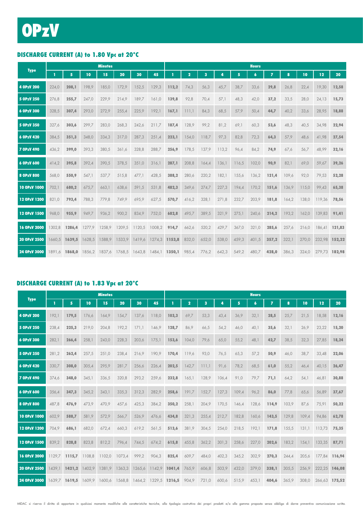## DISCHARGE CURRENT (A) to 1.80 Vpc at 20°C

|                     |        |               |               | <b>Minutes</b> |                             |        |               |       |       |       |       |       | <b>Hours</b>     |                |       |       |               |        |
|---------------------|--------|---------------|---------------|----------------|-----------------------------|--------|---------------|-------|-------|-------|-------|-------|------------------|----------------|-------|-------|---------------|--------|
| <b>Type</b>         | п      | 5             | 10            | 15             | 20                          | 30     | 45            |       | 2     | 3     | 4     | 5     | $\boldsymbol{6}$ | $\overline{z}$ | 8     | 10    | 12            | 20     |
| 4 OPzV 200          | 224,0  | 208,1         | 198,9         | 185,0          | 172,9                       | 152,5  | 129,3         | 112,2 | 74,3  | 56,3  | 45,7  | 38,7  | 33,6             | 29,8           | 26,8  | 22,4  | 19,30         | 12,58  |
| 5 OPzV 250          | 276,8  | 255,7         | 247,0         | 229,9          | 214,9                       | 189,7  | 161,0         | 139,8 | 92,8  | 70,4  | 57,1  | 48,3  | 42,0             | 37,2           | 33,5  | 28,0  | 24,13         | 15,73  |
| 6 OPzV 300          | 328,5  | 307,4         | 293,0         | 272,9          | 255,4                       | 225,9  | 192,1         | 167,1 | 111.1 | 84,3  | 68,5  | 57,9  | 50,4             | 44,7           | 40,2  | 33,6  | 28,95         | 18,88  |
| 5 OPzV 350          | 327,6  | 303,6         | 299,7         | 283,0          | 268,3                       | 242,6  | 211,7         | 187,4 | 128,9 | 99,2  | 81,2  | 69,1  | 60,3             | 53,6           | 48,3  | 40,5  | 34,98         | 22,94  |
| 6 OPzV 420          | 384,5  | 351,3         | 348,0         | 334,3          | 317,0                       | 287,3  | 251,4         | 223,1 | 154,0 | 118,7 | 97,3  | 82,8  | 72,3             | 64,3           | 57,9  | 48,6  | 41,98         | 27,54  |
| <b>7 OPzV 490</b>   | 436,2  | 399,0         | 393,3         | 380,5          | 361,6                       | 328,8  | 288,7         | 256,9 | 178,5 | 137,9 | 113,2 | 96,4  | 84,2             | 74,9           | 67,6  | 56,7  | 48,99         | 32,16  |
| 6 OPzV 600          | 414,2  | 395,8         | 392,4         | 390,5          | 378,5                       | 351,0  | 316,1         | 287,1 | 208,8 | 164,4 | 136,1 | 116,5 | 102,0            | 90,9           | 82,1  | 69,0  | 59,67         | 39,26  |
| 8 OPzV 800          | 568,0  | 550,9         | 547,1         | 537,7          | 515,8                       | 477,1  | 428,5         | 388,2 | 280,6 | 220,2 | 182,1 | 155,6 | 136,2            | 121,4          | 109,6 | 92,0  | 79,53         | 52,28  |
| <b>10 OPzV 1000</b> | 702,1  | 680,2         | 675,7         | 663,1          | 638,6                       | 591,5  | 531,8         | 482,3 | 349.6 | 274,7 | 227,3 | 194,4 | 170,2            | 151,6          | 136,9 | 115,0 | 99.43         | 65,38  |
| 12 OPzV 1200        | 821,0  | 793,4         | 788,3         | 779,8          | 749,9                       | 695,9  | 627,5         | 570,7 | 416,2 | 328,1 | 271,8 | 232,7 | 203,9            | 181,8          | 164,2 | 138,0 | 119,36        | 78,56  |
| 12 OPzV 1500        | 968.0  | 955,9         | 949,7         | 936,2          | 900,2                       | 834,9  | 752,0         | 682,8 | 495.7 | 389.5 | 321.9 | 275,1 | 240,6            | 214,2          | 193,2 | 162,0 | 139.83        | 91.41  |
| 16 OPzV 2000        | 1302.8 | 1286,4        | 1277.9        | 1258.9         | 1209.5                      | 1120,5 | 1008,2        | 914,7 | 662,6 | 520,2 | 429,7 | 367,0 | 321,0            | 285,6          | 257,6 | 216.0 | 186.41        | 121,83 |
| 20 OPzV 2500        | 1660,5 | 1639,5        | 1628,5        | 1588,9         | 1533,9                      | 1419,6 | 1274,3 1153,8 |       | 832,0 | 652,0 | 538,0 | 459,3 | 401,5            | 357,2          | 322,1 | 270,0 | 232,98        | 152,22 |
| 24 OPzV 3000        |        | 1891.6 1868.0 | 1856,2 1837,6 |                | 1768,5 1643,8 1484,1 1350,1 |        |               |       | 985,4 | 776,2 | 642,3 | 549,2 | 480,7            | 428,0          | 386,3 | 324.0 | 279.73 182.98 |        |

#### DISCHARGE CURRENT (A) to 1.83 Vpc at 20°C

|                   |        |               |        | <b>Minutes</b> |        |        |               |               |                         |                         |       |       | <b>Hours</b>        |                |       |       |        |               |
|-------------------|--------|---------------|--------|----------------|--------|--------|---------------|---------------|-------------------------|-------------------------|-------|-------|---------------------|----------------|-------|-------|--------|---------------|
| <b>Type</b>       | п      | 5             | 10     | 15             | 20     | 30     | 45            |               | $\overline{\mathbf{2}}$ | $\overline{\mathbf{3}}$ | 4     | 5     | $\ddot{\mathbf{6}}$ | $\overline{z}$ | 8     | 10    | 12     | 20            |
| 4 OPzV 200        | 192,1  | 179,5         | 176,6  | 164,9          | 154,7  | 137,6  | 118.0         | 103,3         | 69.7                    | 53,3                    | 43,4  | 36,9  | 32,1                | 28,5           | 25,7  | 21,5  | 18,58  | 12,16         |
| 5 OPzV 250        | 238.4  | 225,3         | 219,0  | 204,8          | 192,2  | 171,1  | 146.9         | 128,7         | 86.9                    | 66,5                    | 54,2  | 46,0  | 40,1                | 35,6           | 32,1  | 26,9  | 23,22  | 15,20         |
| 6 OPzV 300        | 282,1  | 266,4         | 258,1  | 243,0          | 228,3  | 203,6  | 175,1         | 153,6         | 104,0                   | 79,6                    | 65,0  | 55,2  | 48,1                | 42,7           | 38,5  | 32,3  | 27,85  | 18,24         |
| 5 OPzV 350        | 281,2  | 262,4         | 257,5  | 251,0          | 238,4  | 216,9  | 190,9         | 170,4         | 119,6                   | 93,0                    | 76,5  | 65,3  | 57,2                | 50,9           | 46,0  | 38,7  | 33,48  | 22,06         |
| 6 OPzV 420        | 330,7  | 308,0         | 305,4  | 295,9          | 281,7  | 256,6  | 226,4         | 202,5         | 142,7                   | 111,1                   | 91,6  | 78,2  | 68,5                | 61,0           | 55,2  | 46,4  | 40,15  | 26,47         |
| <b>7 OPzV 490</b> | 374,6  | 348,0         | 345,1  | 336,5          | 320,8  | 293,2  | 259,6         | 232,8         | 165,1                   | 128,9                   | 106,4 | 91,0  | 79,7                | 71,1           | 64,2  | 54,1  | 46,81  | 30,88         |
| 6 OPzV 600        | 356.4  | 347,3         | 345,2  | 343,1          | 335,3  | 312,3  | 282,9         | 258,6         | 191,7                   | 152,7                   | 127,3 | 109,4 | 96,2                | 86,0           | 77,8  | 65,6  | 56,89  | 37,67         |
| 8 OPzV 800        | 487,8  | 476,9         | 473,9  | 470,9          | 457,6  | 425,3  | 384,2         | 350,2         | 258,1                   | 204,9                   | 170,5 | 146,4 | 128,6               | 114,9          | 103,9 | 87,6  | 75,91  | 50,22         |
| 10 OPzV 1000      | 602,9  | 588,7         | 581,9  | 572,9          | 566,7  | 526,9  | 476,6         | 434,8         | 321,3                   | 255,4                   | 212,7 | 182,8 | 160,6               | 143,5          | 129,8 | 109,4 | 94,86  | 62,78         |
| 12 OPzV 1200      | 704.9  | 686,1         | 682,0  | 672,4          | 660,3  | 619,2  | 561,5         | 513,6         | 381.9                   | 304,5                   | 254,0 | 218,5 | 192,1               | 171,8          | 155,5 | 131.1 | 113.73 | 75,35         |
| 12 OPzV 1500      | 839.2  | 828,8         | 823,8  | 812,2          | 796,4  | 744,5  | 674,2         | 615,8         | 455.8                   | 362,2                   | 301,3 | 258,6 | 227,0               | 202,6          | 183,2 | 154.1 | 133.35 | 87,71         |
| 16 OPzV 2000      | 1129.7 | 1115,7        | 1108.8 | 1102,0         | 1073,4 | 999,2  | 904,3         | 825,4         | 609.7                   | 484,0                   | 402,3 | 345,2 | 302,9               | 270,3          | 244,4 | 205,6 | 177.84 | 116,94        |
| 20 OPzV 2500      | 1439.1 | 1421,2        | 1402,9 | 1381.9         | 1363,3 | 1265,6 | 1142,9 1041,4 |               | 765,9                   | 606,8                   | 503,9 | 432,0 | 379,0               | 338,1          | 305,5 | 256,9 | 222,25 | 146,08        |
| 24 OPzV 3000      |        | 1639.7 1619.5 | 1609.9 | 1600,6         | 1568,8 | 1464,2 |               | 1329,5 1216,5 | 904,9                   | 721,0                   | 600,6 | 515,9 | 453,1               | 404,6          | 365,9 | 308.0 |        | 266,63 175,52 |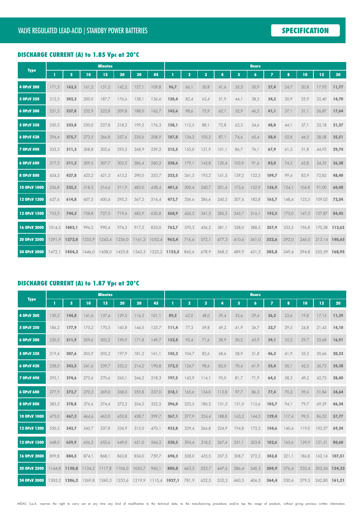## DISCHARGE CURRENT (A) to 1.85 Vpc at 20°C

|                   |        |                 |        | <b>Minutes</b> |        |                      | <b>Hours</b><br>45<br>5<br>$\overline{ }$<br>$\boldsymbol{6}$<br>10<br>$\overline{\mathbf{2}}$<br>3<br>4<br>8<br>109,8<br>50,8<br>35,3<br>30,9<br>27,4<br>24,7<br>20,8<br>96,7<br>66,1<br>41,6<br>63,4<br>51,9<br>38,5<br>34,3<br>30,9<br>25,9<br>120,4<br>82,4<br>44,1<br>136,6<br>98,6<br>62,1<br>52,9<br>46,2<br>41,1<br>37,1<br>31,1<br>162,7<br>143,6<br>75,9<br>88,1<br>72,8<br>62,3<br>48,8<br>176,3<br>158,1<br>112,5<br>54,6<br>44,1<br>37,1<br>52,8<br>208,9<br>187,8<br>134,2<br>105,2<br>87,1<br>74,6<br>65,4<br>58,4<br>44,5<br>239,2<br>101,1<br>76,1<br>67,9<br>61,5<br>51,8<br>215,5<br>155,0<br>121,9<br>86,7<br>260,2<br>179,1<br>120,4<br>103,9<br>91,6<br>82,0<br>74,3<br>62,8<br>238,6<br>143,8<br>139,2<br>122,5<br>109,7<br>99,4<br>83,9<br>353,7<br>323,5<br>241,5<br>193,2<br>161,5<br>152,9<br>438.4<br>401.6<br>300.4<br>240,7<br>201,4<br>173,6<br>136,9<br>124,1<br>104.8<br>356,6<br>286,6<br>240,3<br>207,4<br>182,8<br>163,7<br>148,4<br>516,4<br>473,7<br>125,5<br>620,8<br>568,9<br>426,2<br>341,3<br>285,3<br>245,7<br>216,1<br>193,3<br>175,0<br>147,5 |       |       |       |       |       |       |       |       |       |               |        |
|-------------------|--------|-----------------|--------|----------------|--------|----------------------|--------------------------------------------------------------------------------------------------------------------------------------------------------------------------------------------------------------------------------------------------------------------------------------------------------------------------------------------------------------------------------------------------------------------------------------------------------------------------------------------------------------------------------------------------------------------------------------------------------------------------------------------------------------------------------------------------------------------------------------------------------------------------------------------------------------------------------------------------------------------------------------------------------------------------------------------------------------------------------------------------------------------------------------------------------------------------------------------|-------|-------|-------|-------|-------|-------|-------|-------|-------|---------------|--------|
| <b>Type</b>       | T      | 5               | 10     | 15             | 20     | 30                   |                                                                                                                                                                                                                                                                                                                                                                                                                                                                                                                                                                                                                                                                                                                                                                                                                                                                                                                                                                                                                                                                                            |       |       |       |       |       |       |       |       |       | 12            | 20     |
| 4 OPzV 200        | 171,3  | 163,3           | 161,2  | 151,2          | 142,2  | 127,1                |                                                                                                                                                                                                                                                                                                                                                                                                                                                                                                                                                                                                                                                                                                                                                                                                                                                                                                                                                                                                                                                                                            |       |       |       |       |       |       |       |       |       | 17,93         | 11,77  |
| 5 OPzV 250        | 212,3  | 202,3           | 200,0  | 187,7          | 176,6  | 158,1                |                                                                                                                                                                                                                                                                                                                                                                                                                                                                                                                                                                                                                                                                                                                                                                                                                                                                                                                                                                                                                                                                                            |       |       |       |       |       |       |       |       |       | 22,40         | 14,70  |
| 6 OPzV 300        | 251,2  | 237,8           | 232,9  | 222,8          | 209,8  | 188,0                |                                                                                                                                                                                                                                                                                                                                                                                                                                                                                                                                                                                                                                                                                                                                                                                                                                                                                                                                                                                                                                                                                            |       |       |       |       |       |       |       |       |       | 26,87         | 17,64  |
| 5 OPzV 350        | 250,3  | 233,8           | 230,0  | 227,8          | 218,2  | 199,2                |                                                                                                                                                                                                                                                                                                                                                                                                                                                                                                                                                                                                                                                                                                                                                                                                                                                                                                                                                                                                                                                                                            |       |       |       |       |       |       |       |       |       | 32,18         | 21,27  |
| 6 OPzV 420        | 294,4  | 275,7           | 273,5  | 266,8          | 257,6  | 235,6                |                                                                                                                                                                                                                                                                                                                                                                                                                                                                                                                                                                                                                                                                                                                                                                                                                                                                                                                                                                                                                                                                                            |       |       |       |       |       |       |       |       |       | 38,58         | 25,51  |
| <b>7 OPzV 490</b> | 333,3  | 311,3           | 308,8  | 302,6          | 293,2  | 268,9                |                                                                                                                                                                                                                                                                                                                                                                                                                                                                                                                                                                                                                                                                                                                                                                                                                                                                                                                                                                                                                                                                                            |       |       |       |       |       |       |       |       |       | 44,93         | 29,74  |
| 6 OPzV 600        | 317,3  | 311,3           | 309,5  | 307,7          | 303,5  | 286,4                |                                                                                                                                                                                                                                                                                                                                                                                                                                                                                                                                                                                                                                                                                                                                                                                                                                                                                                                                                                                                                                                                                            |       |       |       |       |       |       |       |       |       | 54,55         | 36,28  |
| 8 OPzV 800        | 434,3  | 427,8           | 425,2  | 421,3          | 413,2  | 390,0                |                                                                                                                                                                                                                                                                                                                                                                                                                                                                                                                                                                                                                                                                                                                                                                                                                                                                                                                                                                                                                                                                                            |       |       |       |       |       |       |       |       |       | 72,85         | 48,40  |
| 10 OPzV 1000      | 536.8  | 525,3           | 518,5  | 514,6          | 511,9  | 483,0                |                                                                                                                                                                                                                                                                                                                                                                                                                                                                                                                                                                                                                                                                                                                                                                                                                                                                                                                                                                                                                                                                                            |       |       |       |       |       |       |       |       |       | 91,00         | 60,48  |
| 12 OPzV 1200      | 627,6  | 614,8           | 607,5  | 600,4          | 595,3  | 567,3                |                                                                                                                                                                                                                                                                                                                                                                                                                                                                                                                                                                                                                                                                                                                                                                                                                                                                                                                                                                                                                                                                                            |       |       |       |       |       |       |       |       |       | 109,02        | 72,54  |
| 12 OPzV 1500      | 753,5  | 744,3           | 738,8  | 727,5          | 719,6  | 682,9                |                                                                                                                                                                                                                                                                                                                                                                                                                                                                                                                                                                                                                                                                                                                                                                                                                                                                                                                                                                                                                                                                                            |       |       |       |       |       |       |       |       |       | 127,87        | 84,45  |
| 16 OPzV 2000      | 1014.5 | 1002,1          | 996,2  | 990,4          | 974,3  | 917,2                | 833,0                                                                                                                                                                                                                                                                                                                                                                                                                                                                                                                                                                                                                                                                                                                                                                                                                                                                                                                                                                                                                                                                                      | 762,7 | 570,3 | 456,2 | 381,1 | 328,0 | 288,5 | 257,9 | 233,5 | 196,8 | 170.58        | 112,62 |
| 20 OPzV 2500      | 1291,9 | 1272,0          | 1253,9 | 1243,4         | 1236,0 | 1161,3               | 1052,4                                                                                                                                                                                                                                                                                                                                                                                                                                                                                                                                                                                                                                                                                                                                                                                                                                                                                                                                                                                                                                                                                     | 962,4 | 716,6 | 572,1 | 477,3 | 410,6 | 361,0 | 322,6 | 292,0 | 246,0 | 213,14        | 140,65 |
| 24 OPzV 3000      |        | $1472,1$ 1454,2 | 1446,0 | 1438,0         | 1425,8 | 1343,3 1223,2 1123,5 |                                                                                                                                                                                                                                                                                                                                                                                                                                                                                                                                                                                                                                                                                                                                                                                                                                                                                                                                                                                                                                                                                            |       | 845,6 | 678,9 | 568,3 | 489,9 | 431,3 | 385,8 | 349,4 | 294,8 | 255,59 168,95 |        |

#### DISCHARGE CURRENT (A) to 1.87 Vpc at 20°C

|                   |        |               |        | <b>Minutes</b> |        |        |                      |       |                |       |       |       | <b>Hours</b>     |                |       |       |               |        |
|-------------------|--------|---------------|--------|----------------|--------|--------|----------------------|-------|----------------|-------|-------|-------|------------------|----------------|-------|-------|---------------|--------|
| <b>Type</b>       | п      | 5             | 10     | 15             | 20     | 30     | 45                   |       | $\overline{2}$ | 3     | Д     | 5     | $\boldsymbol{6}$ | $\overline{I}$ | 8     | 10    | 12            | 20     |
| 4 OPzV 200        | 150,3  | 144,8         | 141,6  | 137,4          | 129,5  | 116.3  | 101,1                | 89,5  | 62,0           | 48,0  | 39,4  | 33,6  | 29,4             | 26,2           | 23,6  | 19,8  | 17,15         | 11,29  |
| 5 OPzV 250        | 186,2  | 177,9         | 175,2  | 170,5          | 160,8  | 144,5  | 125,7                | 111,4 | 77,3           | 59,8  | 49,2  | 41,9  | 36,7             | 32,7           | 29,5  | 24,8  | 21,43         | 14,10  |
| 6 OPzV 300        | 220,3  | 211,9         | 209,6  | 202,2          | 190,9  | 171,8  | 149,7                | 132,8 | 92,4           | 71,6  | 58,9  | 50,2  | 43,9             | 39,1           | 35,3  | 29,7  | 25,68         | 16,91  |
| 5 OPzV 350        | 219.4  | 207,6         | 205,9  | 202,2          | 197,9  | 181,2  | 161.1                | 145,2 | 104,7          | 82,6  | 68,6  | 58,9  | 51,8             | 46,3           | 41,9  | 35,3  | 30,66         | 20,33  |
| 6 OPzV 420        | 258.0  | 243,5         | 241,6  | 239,7          | 233,2  | 214,2  | 190,8                | 172,2 | 124,7          | 98,6  | 82,0  | 70,4  | 61,9             | 55,4           | 50,1  | 42,3  | 36,73         | 24,38  |
| <b>7 OPzV 490</b> | 292,1  | 274,6         | 272,6  | 270,6          | 265,1  | 244,2  | 218,3                | 197,5 | 143,9          | 114,1 | 95,0  | 81,7  | 71,9             | 64,3           | 58,3  | 49,2  | 42,75         | 28,40  |
| 6 OPzV 600        | 277.9  | 272,7         | 270,3  | 269,0          | 268,0  | 259,8  | 237,0                | 218.1 | 165,6          | 134,0 | 112,8 | 97,7  | 86,3             | 77,4           | 70,3  | 59,6  | 51,84         | 34,64  |
| 8 OPzV 800        | 383,5  | 378,8         | 376,6  | 374,4          | 372,3  | 354,5  | 322,5                | 296,0 | 223,5          | 180,3 | 151,5 | 131,0 | 115,6            | 103,7          | 94,1  | 79,7  | 69,29         | 46,24  |
| 10 OPzV 1000      | 473,0  | 467,2         | 464,6  | 462,0          | 455,8  | 438,7  | 399,7                | 367,1 | 277,9          | 224,4 | 188,8 | 163,3 | 144,3            | 129,4          | 117,4 | 99,5  | 86,53         | 57,77  |
| 12 OPzV 1200      | 550,3  | 543,7         | 540,7  | 537,8          | 534,9  | 515,0  | 470.                 | 432,8 | 329,4          | 266,8 | 224,9 | 194.8 | 172,2            | 154,6          | 140.4 | 119.0 | 103,57        | 69,24  |
| 12 OPzV 1500      | 668,0  | 659,9         | 656,2  | 652,6          | 649,0  | 621,0  | 566,2                | 520,5 | 394,4          | 318,2 | 267,4 | 231,1 | 203,8            | 182,6          | 165,6 | 139.9 | 121.51        | 80,60  |
| 16 OPzV 2000      | 899,8  | 884,5         | 874,1  | 868,1          | 863,8  | 834,0  | 759,7                | 698,2 | 528,0          | 425,5 | 357,3 | 308,7 | 272,2            | 243,8          | 221,1 | 186,8 | 162,14        | 107,51 |
| 20 OPzV 2500      | 1144.8 | 1130.8        | 1124,2 | 1117,8         | 1106.0 | 1055,7 | 960,1                | 880,8 | 663,5          | 533,7 | 447,6 | 386,4 | 340,5            | 304,9          | 276,4 | 233,4 | 202,56        | 134,23 |
| 24 OPzV 3000      |        | 1305.2 1286.2 | 1269.8 | 1260,3         | 1253,6 |        | 1219,9 1115,4 1027,1 |       | 781,9          | 632,5 | 532,3 | 460,5 | 406,5            | 364,4          | 330,6 | 279,5 | 242,80 161,21 |        |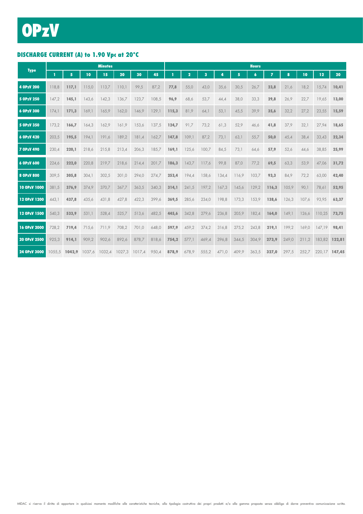## DISCHARGE CURRENT (A) to 1.90 Vpc at 20°C

|                   |        |        |        | <b>Minutes</b> |        |        |       |       |                |       |       |       | <b>Hours</b>     |                |       |       |                 |        |
|-------------------|--------|--------|--------|----------------|--------|--------|-------|-------|----------------|-------|-------|-------|------------------|----------------|-------|-------|-----------------|--------|
| <b>Type</b>       | T.     | 5      | 10     | 15             | 20     | 30     | 45    |       | $\overline{2}$ | 3     | 4     | 5     | $\boldsymbol{6}$ | $\overline{ }$ | 8     | 10    | 12 <sub>2</sub> | 20     |
| 4 OPzV 200        | 118,8  | 117,1  | 115,0  | 113,7          | 110,1  | 99,5   | 87,2  | 77,8  | 55,0           | 43,0  | 35,6  | 30,5  | 26,7             | 23,8           | 21,6  | 18,2  | 15,74           | 10,41  |
| 5 OPzV 250        | 147,2  | 145.1  | 143,6  | 142,3          | 136,7  | 123,7  | 108,5 | 96,9  | 68,6           | 53,7  | 44,4  | 38,0  | 33,3             | 29,8           | 26,9  | 22,7  | 19,65           | 13,00  |
| 6 OPzV 300        | 174,1  | 171,3  | 169,1  | 165,9          | 162,0  | 146.9  | 129,1 | 115,3 | 81,9           | 64,1  | 53,1  | 45,5  | 39,9             | 35,6           | 32,2  | 27,2  | 23,55           | 15,59  |
| 5 OPzV 350        | 173,2  | 166,7  | 164,3  | 162,9          | 161,9  | 153,6  | 137,5 | 124,7 | 91,7           | 73,2  | 61,3  | 52,9  | 46,6             | 41,8           | 37,9  | 32,1  | 27,94           | 18,65  |
| 6 OPzV 420        | 203,5  | 195,5  | 194,1  | 191,6          | 189,2  | 181,4  | 162,7 | 147,8 | 109,1          | 87,2  | 73,1  | 63,1  | 55,7             | 50,0           | 45,4  | 38,4  | 33,43           | 22,34  |
| <b>7 OPzV 490</b> | 230.4  | 220,1  | 218,6  | 215,8          | 213,4  | 206,3  | 185.7 | 169.1 | 125,6          | 100,7 | 84,5  | 73,1  | 64,6             | 57,9           | 52,6  | 44.6  | 38,85           | 25,99  |
| 6 OPzV 600        | 224,6  | 222,0  | 220,8  | 219,7          | 218,6  | 214,4  | 201,7 | 186,3 | 143,7          | 117,6 | 99,8  | 87,0  | 77,2             | 69,5           | 63,3  | 53.9  | 47,06           | 31,72  |
| 8 OPzV 800        | 309,5  | 305,8  | 304,1  | 302,5          | 301,0  | 294,0  | 274,7 | 253,4 | 194,4          | 158,6 | 134,4 | 116,9 | 103,7            | 93,3           | 84,9  | 72,2  | 63,00           | 42,40  |
| 10 OPzV 1000      | 381,5  | 376,9  | 374,9  | 370,7          | 367,7  | 363,5  | 340,3 | 314,1 | 241,5          | 197,2 | 167,3 | 145,6 | 129,2            | 116,3          | 105,9 | 90,1  | 78,61           | 52,95  |
| 12 OPzV 1200      | 443,1  | 437,8  | 435,6  | 431,8          | 427,8  | 422,3  | 399.6 | 369,5 | 285,6          | 234,0 | 198,8 | 173,3 | 153,9            | 138,6          | 126,3 | 107.6 | 93.95           | 63,37  |
| 12 OPzV 1500      | 540.3  | 533,9  | 531.1  | 528.4          | 525.7  | 513.6  | 482.5 | 445,6 | 342.8          | 279.6 | 236.8 | 205.9 | 182,4            | 164,0          | 149.1 | 126.6 | 110.25          | 73,75  |
| 16 OPzV 2000      | 728,2  | 719,4  | 715,6  | 711,9          | 708,2  | 701,0  | 648,0 | 597,9 | 459,2          | 374,2 | 316,8 | 275,2 | 243,8            | 219,1          | 199,2 | 169,0 | 147.19          | 98,41  |
| 20 OPzV 2500      | 925.3  | 914,1  | 909,2  | 902,6          | 892,6  | 878.7  | 818.6 | 754,2 | 577.1          | 469,4 | 396.8 | 344,5 | 304,9            | 273,9          | 249.0 | 211.2 | 183.82          | 122.81 |
| 24 OPzV 3000      | 1055.5 | 1042.9 | 1037.6 | 1032,4         | 1027,3 | 1017,4 | 950,4 | 878,9 | 678,9          | 555,2 | 471,0 | 409.9 | 363,5            | 327,0          | 297,5 | 252.7 | 220.17          | 147,45 |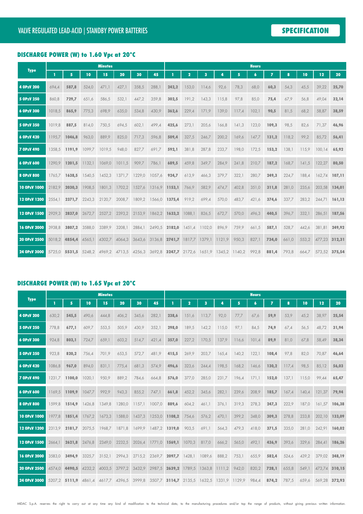### DISCHARGE POWER (W) to 1.60 Vpc at 20°C

|                   |        |               |        | <b>Minutes</b>                                                                                    |        |        |                      |               |                      |        |               |       | <b>Hours</b>    |                |       |       |               |        |
|-------------------|--------|---------------|--------|---------------------------------------------------------------------------------------------------|--------|--------|----------------------|---------------|----------------------|--------|---------------|-------|-----------------|----------------|-------|-------|---------------|--------|
| <b>Type</b>       | п      | 5             | 10     | 15                                                                                                | 20     | 30     | 45                   |               | 2                    | 3      | л             | 5     | $6\phantom{1}6$ | $\overline{z}$ | 8     | 10    | 12            | 20     |
| 4 OPzV 200        | 694,4  | 587,8         | 524,0  | 471,1                                                                                             | 427,1  | 358,5  | 288,1                | 242,2         | 153,0                | 114,6  | 92,6          | 78,3  | 68,0            | 60,3           | 54,3  | 45,5  | 39,22         | 25,70  |
| 5 OPzV 250        | 860,8  | 729,7         | 651,6  | 586,5                                                                                             | 532,1  | 447,2  | 359,8                | 302,5         | 191,2                | 143,3  | 115,8         | 97,8  | 85,0            | 75,4           | 67,9  | 56,8  | 49,04         | 32,14  |
| 6 OPzV 300        | 1018,5 | 865,9         | 775,3  | 698,9                                                                                             | 635,0  | 534,8  | 430,9                | 362,6         | 229,4                | 171,9  | 139,0         | 117,4 | 102,1           | 90,5           | 81,5  | 68,2  | 58,87         | 38,59  |
| 5 OPzV 350        | 1019.8 | 887,5         | 814,0  | 750,5                                                                                             | 694,5  | 602,1  | 499,4                | 425,6         | 273,1                | 205,6  | 166,8         | 141,3 | 123,0           | 109,3          | 98,5  | 82,6  | 71,37         | 46,96  |
| 6 OPzV 420        | 1195.7 | 1046.8        | 963,0  | 889,9                                                                                             | 825,0  | 717,3  | 596,8                | 509,4         | 327,5                | 246,7  | 200,2         | 169,6 | 147,7           | 131,2          | 118,2 | 99,2  | 85,72         | 56,41  |
| <b>7 OPzV 490</b> | 1358.5 | 1191,9        | 1099,7 | 1019,5                                                                                            | 948,0  | 827,7  | 691,7                | 592,1         | 381,8                | 287,8  | 233,7         | 198,0 | 172,5           | 153,2          | 138,1 | 115,9 | 100,14        | 65,92  |
| 6 OPzV 600        | 1290.9 | 1201.5        | 1132.1 | 1069.0                                                                                            | 1011.5 | 909.7  | 786,1                | 689,5         | 459.8                | 349.7  | 284,9         | 241,8 | 210,7           | 187,2          | 168,7 | 141,5 | 122,27        | 80,50  |
| 8 OPzV 800        | 1765.7 | 1638,5        | 1540,5 | 1452,3                                                                                            | 1371.7 | 1229,0 | 1057,6               | 924,7         | 613,9                | 466,3  | 379,7         | 322,1 | 280,7           | 249,3          | 224,7 | 188.4 | 162.74        | 107,11 |
| 10 OPzV 1000      | 2182.9 | 2030,3        | 1908.5 | 1801.3                                                                                            | 1702,2 | 1527,6 | 1316.9 1153.1        |               | 766.9                | 582,9  | 474,7         | 402,8 | 351,0           | 311,8          | 281,0 | 235.6 | 203.58        | 134,01 |
| 12 OPzV 1200      | 2554.1 | 2371.7        | 2243.3 | 2120.7                                                                                            | 2008.7 |        | 1809,2 1566,0 1375,4 |               | 919,2                | 699,4  | 570,0         | 483,7 | 421,6           | 374,6          | 337,7 | 283,2 | 244.71        | 161,13 |
| 12 OPzV 1500      | 2929.3 | 2837,0        | 2672,7 | 2527,2                                                                                            | 2393,2 | 2153,9 |                      | 1862,2 1633,2 | 1088,1               | 826,5  | 672,7         | 570.0 | 496,3           | 440,5          | 396,7 | 332,1 | 286.51        | 187,56 |
| 16 OPzV 2000      | 3938.8 | 3807.2        | 3588,0 | 3389.9                                                                                            | 3208,1 | 2884,1 |                      | 2490,5 2182,0 | 1451,4               | 1102,0 | 896,9         | 759,9 | 661,5           | 587,1          | 528,7 | 442,6 | 381.81        | 249,92 |
| 20 OPzV 2500      |        | 5018,2 4854,4 | 4565,1 | 4302,7                                                                                            | 4064,3 | 3643,6 |                      |               | 3136,8 2741,7 1817,7 |        | 1379,1 1121,9 | 950,3 | 827,1           | 734,0          | 661,0 | 553,2 | 477,23 312,31 |        |
| 24 OPzV 3000      |        |               |        | 5725,0 <b>5531,5</b> 5248,2 4969,2 4713,5 4256,3 3692,8 <b>3247,7</b> 2172,6 1651,9 1345,2 1140,2 |        |        |                      |               |                      |        |               |       | 992,8           | 881,4          | 793,8 | 664.7 | 573,52 375,54 |        |

### DISCHARGE POWER (W) to 1.65 Vpc at 20°C

|                   |        |               |                             | <b>Minutes</b> |        |        |                             |               |                         |        |                                           |       | <b>Hours</b>     |                |       |       |               |        |
|-------------------|--------|---------------|-----------------------------|----------------|--------|--------|-----------------------------|---------------|-------------------------|--------|-------------------------------------------|-------|------------------|----------------|-------|-------|---------------|--------|
| <b>Type</b>       | п      | 5             | 10                          | 15             | 20     | 30     | 45                          |               | $\overline{\mathbf{2}}$ |        |                                           | 5     | $\boldsymbol{6}$ | $\overline{ }$ | 8     | 10    | 12            | 20     |
| 4 OPzV 200        | 630,2  | 545,5         | 490,6                       | 444,8          | 406,2  | 345,6  | 282,1                       | 238,6         | 151,6                   | 113,7  | 92,0                                      | 77,7  | 67,6             | 59,9           | 53,9  | 45,2  | 38,97         | 25,54  |
| 5 OPzV 250        | 778.8  | 677,1         | 609,7                       | 553,5          | 505,9  | 430,9  | 352,1                       | 298,0         | 189,5                   | 142,2  | 115,0                                     | 97,1  | 84,5             | 74,9           | 67,4  | 56,5  | 48.72         | 31,94  |
| 6 OPzV 300        | 924.8  | 803,1         | 724,7                       | 659,1          | 603,2  | 514.7  | 421,4                       | 357.0         | 227,2                   | 170,5  | 137,9                                     | 116,6 | 101,4            | 89,9           | 81,0  | 67.8  | 58.49         | 38,34  |
| 5 OPzV 350        | 923.8  | 820,2         | 756,4                       | 701,9          | 653,5  | 572,7  | 481.9                       | 415,5         | 269,9                   | 203,7  | 165,4                                     | 140,2 | 122,1            | 108,4          | 97,8  | 82,0  | 70,87         | 46,64  |
| 6 OPzV 420        | 1086.8 | 967,0         | 894,0                       | 831,1          | 775,4  | 681,3  | 574,9                       | 496,6         | 323,6                   | 244,4  | 198,5                                     | 168,2 | 146,6            | 130,2          | 117,4 | 98,5  | 85,12         | 56,03  |
| <b>7 OPzV 490</b> | 1231.7 | 1100,0        | 1020,1                      | 950,9          | 889,2  | 784,6  | 664,8                       | 576,0         | 377,0                   | 285,0  | 231,7                                     | 196,4 | 171,1            | 152,0          | 137,1 | 115,0 | 99,44         | 65,47  |
| 6 OPzV 600        | 1169.5 | 1109.9        | 1047,7                      | 992,9          | 943,3  | 855,2  | 747,1                       | 661,8         | 452,2                   | 345,6  | 282,1                                     | 239,6 | 208,9            | 185,7          | 167,4 | 140,4 | 121,37        | 79,94  |
| 8 OPzV 800        | 1599.8 | 1514,9        | 1426,8                      | 1349,8         | 1280,0 | 1157,1 | 1007,0                      | 889,6         | 604,2                   | 461,1  | 376,1                                     | 319,3 | 278,3            | 247,3          | 222,9 | 187,0 | 161,57        | 106,38 |
| 10 OPzV 1000      | 1977.8 | 1851,4        | 1767,2                      | 1673,3         | 1588,0 | 1437,3 | 1253,0                      | 1108.2        | 754,6                   | 576,2  | 470,1                                     | 399,2 | 348,0            | 309,3          | 278,8 | 233,8 | 202,10        | 133,09 |
| 12 OPzV 1200      | 2313.9 | 2181.7        | 2075,5                      | 1968.7         | 1871.8 | 1699.9 |                             | 1487,2 1319,0 | 903,5                   | 691,1  | 564,3                                     | 479,3 | 418,0            | 371,5          | 335,0 | 281,0 | 242.91        | 160,02 |
| 12 OPzV 1500      | 2664.1 | 2621.8        | 2476.8                      | 2349.0         | 2232.5 | 2026,4 |                             | 1771.0 1569.1 | 1070,3                  | 817,0  | 666,2                                     | 565,0 | 492,1            | 436,9          | 393,6 | 329,6 | 284.41        | 186,26 |
| 16 OPzV 2000      | 3583.0 | 3494.9        | 3325,7                      | 3152,1         | 2994,3 |        | 2715,2 2369,7 2097,7 1428,1 |               |                         | 1089,6 | 888,2                                     | 753,1 | 655,9            | 582,4          | 524,6 | 439,2 | 379,02 248,19 |        |
| 20 OPzV 2500      |        | 4574.0 4490.5 | 4232.2                      | 4003.5         | 3797.2 | 3432.9 |                             | 2987,5 2639,2 | 1789.5                  | 1363.8 | 1111,2                                    | 942,0 | 820,2            | 728,1          | 655.8 | 549.1 | 473.74        | 310,15 |
| 24 OPzV 3000      |        |               | 5207.2 5111,9 4861.4 4617.7 |                | 4396,5 | 3999,8 |                             |               |                         |        | 3507,7 3114,7 2135,5 1632,5 1331,9 1129,9 |       | 984,4            | 874,2          | 787,5 | 659.6 | 569,28 372,93 |        |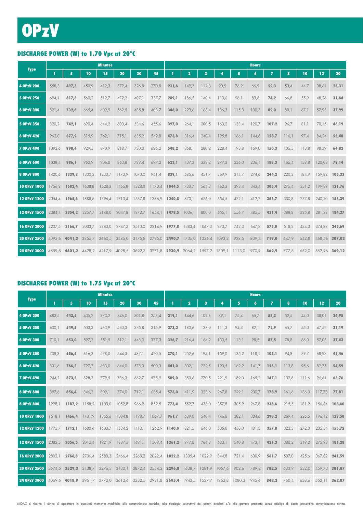## DISCHARGE POWER (W) to 1.70 Vpc at 20°C

|                   |        |                             |        | <b>Minutes</b> |        |        |                             |               |                         |        |                                                         |       | <b>Hours</b> |                |       |       |               |        |
|-------------------|--------|-----------------------------|--------|----------------|--------|--------|-----------------------------|---------------|-------------------------|--------|---------------------------------------------------------|-------|--------------|----------------|-------|-------|---------------|--------|
| <b>Type</b>       | т      | 5                           | 10     | 15             | 20     | 30     | 45                          |               | $\overline{\mathbf{2}}$ | 3      | Д                                                       | 5     | 6            | $\overline{ }$ | 8     | 10    | 12            | 20     |
| 4 OPzV 200        | 558,3  | 497,3                       | 450,9  | 412,3          | 379,4  | 326,8  | 270,8                       | 231,6         | 149,3                   | 112,3  | 90,9                                                    | 76,9  | 66,9         | 59,3           | 53,4  | 44,7  | 38,61         | 25,31  |
| 5 OPzV 250        | 694,1  | 617,3                       | 560,2  | 512,7          | 472,2  | 407,1  | 337,7                       | 289,1         | 186,5                   | 140,4  | 113,6                                                   | 96,1  | 83,6         | 74,2           | 66,8  | 55,9  | 48,26         | 31,64  |
| 6 OPzV 300        | 821,4  | 732,6                       | 665,4  | 609,9          | 562,5  | 485,8  | 403.7                       | 346,0         | 223,6                   | 168,4  | 136,3                                                   | 115,3 | 100,3        | 89,0           | 80,1  | 67.1  | 57,93         | 37,99  |
| 5 OPzV 350        | 820,2  | 742,1                       | 690,4  | 644,2          | 603,4  | 534,6  | 455,6                       | 397,0         | 264,1                   | 200,5  | 163,2                                                   | 138,4 | 120,7        | 107,2          | 96,7  | 81,1  | 70.15         | 46,19  |
| 6 OPzV 420        | 962,0  | 877,9                       | 815,9  | 762,1          | 715,1  | 635,2  | 542,8                       | 473,8         | 316,4                   | 240,4  | 195,8                                                   | 166,1 | 144,8        | 128,7          | 116,1 | 97,4  | 84,24         | 55,48  |
| <b>7 OPzV 490</b> | 1092,6 | 998,4                       | 929,5  | 870,9          | 818,7  | 730,0  | 626,2                       | 548,2         | 368,1                   | 280,2  | 228,4                                                   | 193,8 | 169,0        | 150,3          | 135,5 | 113,8 | 98,39         | 64,82  |
| 6 OPzV 600        | 1038,4 | 986,1                       | 952,9  | 906,0          | 863,8  | 789,4  | 697,2                       | 623,1         | 437,3                   | 338,2  | 277,3                                                   | 236,0 | 206,1        | 183,3          | 165,4 | 138,8 | 120,03        | 79,14  |
| 8 OPzV 800        | 1420.6 | 1339.3                      | 1300,2 | 1233,7         | 1173,9 | 1070,0 | 941,4                       | 839,1         | 585,6                   | 451,7  | 369,9                                                   | 314,7 | 274,6        | 244,2          | 220,3 | 184,9 | 159,82        | 105,33 |
| 10 OPzV 1000      | 1756,2 | 1682,4                      | 1608,8 | 1528,3         | 1455,8 | 1328,0 | 1170,4                      | 1044,5        | 730,7                   | 564,3  | 462,3                                                   | 393,4 | 343,4        | 305,4          | 275,4 | 231,2 | 199.89        | 131,76 |
| 12 OPzV 1200      | 2054.4 | 1965.6                      | 1888,6 | 1796,4         | 1713,4 | 1567,8 |                             | 1386,9 1240,8 | 873,1                   | 676,0  | 554,5                                                   | 472,1 | 412,2        | 366,7          | 330,8 | 277,8 | 240,20        | 158,39 |
| 12 OPzV 1500      | 2384.4 | 2354,2                      | 2257.7 | 2148,0         | 2047,8 | 1872,7 | 1654.1                      | 1478,5        | 1036,1                  | 800,0  | 655,1                                                   | 556,7 | 485,5        | 431,4          | 388,8 | 325,8 | 281,28 184,37 |        |
| 16 OPzV 2000      | 3207.5 | 3166.7                      | 3033,7 | 2883,0         | 2747,3 |        | 2510,0 2214,9 1977,8 1383,4 |               |                         | 1067,3 | 873,7                                                   | 742,3 | 647,2        | 575,0          | 518,2 | 434,3 | 374.88        | 245,69 |
| 20 OPzV 2500      |        | 4093.6 4041.3               | 3855.7 | 3660,5         | 3485.0 | 3175,8 |                             | 2795,0 2490,7 | 1735,0                  |        | 1336,4 1093,2                                           | 928,5 | 809,4        | 719,0          | 647,9 | 542,8 | 468.56 307.02 |        |
| 24 OPzV 3000      |        | 4659,8 4601,2 4428,2 4217,9 |        |                |        |        |                             |               |                         |        | 4028,5 3692,3 3271,8 2930,9 2064,2 1597,2 1309,1 1113,0 |       | 970,9        | 862,9          | 777,8 | 652,0 | 562,96 369,12 |        |

### DISCHARGE POWER (W) to 1.75 Vpc at 20°C

|                   |        |               |        | <b>Minutes</b> |        |        |                                                         |               |        |        |        |       | <b>Hours</b>     |                |       |       |               |        |
|-------------------|--------|---------------|--------|----------------|--------|--------|---------------------------------------------------------|---------------|--------|--------|--------|-------|------------------|----------------|-------|-------|---------------|--------|
| <b>Type</b>       |        | 5             | 10     | 15             | 20     | 30     | 45                                                      |               | 2      | 3      |        | 5     | $\boldsymbol{6}$ | $\overline{I}$ | 8     | 10    | 12            | 20     |
| 4 OPzV 200        | 483,5  | 443,6         | 405,2  | 373,2          | 346,0  | 301,8  | 253,4                                                   | 219,1         | 144,6  | 109.6  | 89,1   | 75,4  | 65,7             | 58,3           | 52,5  | 44,0  | 38,01         | 24,95  |
| 5 OPzV 250        | 600,1  | 549,5         | 503,3  | 463,9          | 430,3  | 375,8  | 315,9                                                   | 273,2         | 180,6  | 137,0  | 111,3  | 94,3  | 82,1             | 72,9           | 65,7  | 55,0  | 47,52         | 31,19  |
| 6 OPzV 300        | 710,1  | 653,0         | 597,3  | 551,5          | 512,1  | 448,0  | 377,3                                                   | 326,7         | 216,4  | 164,2  | 133,5  | 113,1 | 98,5             | 87,5           | 78,8  | 66,0  | 57,03         | 37,43  |
| 5 OPzV 350        | 708.8  | 656,6         | 616.3  | 578,0          | 544,3  | 487.1  | 420.5                                                   | 370,1         | 252,6  | 194,1  | 159,0  | 135,2 | 118.1            | 105,1          | 94,8  | 79.7  | 68,93         | 45,46  |
| 6 OPzV 420        | 831,6  | 766,5         | 727,7  | 683,0          | 644,0  | 578,0  | 500,3                                                   | 441,0         | 302,1  | 232,5  | 190,5  | 162,2 | 141,7            | 126,1          | 113,8 | 95,6  | 82,75         | 54,59  |
| <b>7 OPzV 490</b> | 944,2  | 873,5         | 828,3  | 779,5          | 736,3  | 662,7  | 575,9                                                   | 509,0         | 350,6  | 270,5  | 221,9  | 189,0 | 165,2            | 147,1          | 132,8 | 111,6 | 96,61         | 63,76  |
| 6 OPzV 600        | 897.6  | 856,4         | 846.3  | 809,1          | 774,0  | 712,1  | 635.4                                                   | 573,0         | 411.9  | 323,6  | 267,8  | 229,1 | 200,7            | 178,9          | 161.6 | 136.0 | 117.73        | 77,81  |
| 8 OPzV 800        | 1228.1 | 1187,2        | 1158,2 | 1103,0         | 1052,8 | 966,2  | 859,5                                                   | 773,4         | 552,7  | 433,0  | 357,8  | 305,9 | 267,8            | 238,6          | 215,5 | 181,2 | 156,84        | 103,60 |
| 10 OPzV 1000      | 1518.1 | 1466,4        | 1431.9 | 1365,6         | 1304,8 | 1198,7 | 1067,7                                                  | 961,7         | 689,0  | 540,4  | 446,8  | 382,1 | 334,6            | 298,2          | 269,4 | 226,5 | 196.12        | 129,58 |
| 12 OPzV 1200      | 1775.7 | 1712.1        | 1680,6 | 1603,7         | 1534,2 | 1413,1 |                                                         | 1262.9 1140.0 | 821,5  | 646,0  | 535,0  | 458,0 | 401.3            | 357,8          | 323,3 | 272.0 | 235,54 155,72 |        |
| 12 OPzV 1500      | 2082.5 | 2056,5        | 2012.4 | 1921.9         | 1837,5 | 1691.1 |                                                         | 1509,4 1361,2 | 977,0  | 766,3  | 633,1  | 540,8 | 473,1            | 421,3          | 380,2 | 319,2 | 275.93        | 181,28 |
| 16 OPzV 2000      | 2802.1 | 2766,8        | 2706,4 | 2580,3         | 2466,4 |        | 2268,2 2022,4 1822,2                                    |               | 1305,4 | 1022,9 | 844,8  | 721,4 | 630,9            | 561,7          | 507,0 | 425,6 | 367,82        | 241,59 |
| 20 OPzV 2500      | 3574.5 | 3529.3        | 3438.7 | 3276,3         | 3130,1 | 2872,4 |                                                         | 2554,2 2296,8 | 1638,7 | 1281,9 | 1057,6 | 902,6 | 789,2            | 702,5          | 633,9 | 532,0 | 459.73        | 301,87 |
| 24 OPzV 3000      |        | 4069.6 4018.9 | 3951.7 | 3772,0         |        |        | 3613,6 3332,5 2981,8 2695,4 1943,5 1527,7 1263,8 1080,3 |               |        |        |        |       | 945,6            | 842,2          | 760.4 | 638.6 | 552,11 362,87 |        |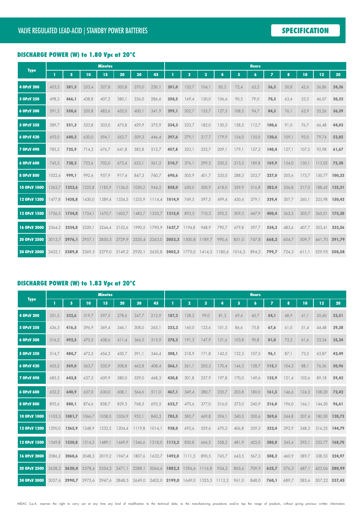### DISCHARGE POWER (W) to 1.80 Vpc at 20°C

|                   |        |        |               | <b>Minutes</b> |                                                                |        |                      |               |        |        |       |       | <b>Hours</b>    |                |       |       |               |        |
|-------------------|--------|--------|---------------|----------------|----------------------------------------------------------------|--------|----------------------|---------------|--------|--------|-------|-------|-----------------|----------------|-------|-------|---------------|--------|
| <b>Type</b>       | п      | 5      | 10            | 15             | 20                                                             | 30     | 45                   |               | 2      | 3      | 4     | 5     | $6\phantom{1}6$ | $\overline{z}$ | 8     | 10    | 12            | 20     |
| 4 OPzV 200        | 403,2  | 381,3  | 353,4         | 327,8          | 305,8                                                          | 270,0  | 230,1                | 201,0         | 135,7  | 104,1  | 85,2  | 72,4  | 63,2            | 56,3           | 50,8  | 42,6  | 36,86         | 24,26  |
| 5 OPzV 250        | 498,3  | 466,1  | 438,8         | 407,2          | 380,1                                                          | 336,0  | 286,6                | 250,5         | 169.4  | 130,0  | 106,4 | 90,5  | 79,0            | 70,3           | 63,4  | 53,3  | 46,07         | 30,32  |
| 6 OPzV 300        | 591,2  | 558,6  | 520,8         | 483,6          | 452,0                                                          | 400,1  | 341,9                | 299,1         | 202,7  | 155,7  | 127,5 | 108,5 | 94,7            | 84,3           | 76,1  | 63,9  | 55,26         | 36,39  |
| 5 OPzV 350        | 589,7  | 551,3  | 533,8         | 503,0          | 475,8                                                          | 429,9  | 375,9                | 334,3         | 233,7  | 182,0  | 150,3 | 128,5 | 112,7           | 100,6          | 91,0  | 76,7  | 66,48         | 44,03  |
| 6 OPzV 420        | 692,0  | 640,2  | 630,0         | 594,1          | 562,7                                                          | 509,3  | 446,4                | 397,6         | 279,1  | 217,7  | 179,9 | 154,0 | 135,0           | 120,6          | 109,1 | 92,0  | 79,74         | 52,85  |
| <b>7 OPzV 490</b> | 785,2  | 725,9  | 714,2         | 676,7          | 641,8                                                          | 582,8  | 512,7                | 457,8         | 323,1  | 252,7  | 209,1 | 179,1 | 157,2           | 140,4          | 127,1 | 107,2 | 92,98         | 61,67  |
| 6 OPzV 600        | 745.5  | 728,2  | 723,6         | 702,0          | 673,4                                                          | 623,1  | 561,2                | 510,7         | 376,1  | 299,5  | 250,2 | 215,5 | 189,8           | 169,9          | 154,0 | 130.1 | 113,02        | 75,20  |
| 8 OPzV 800        | 1022,4 | 999,1  | 992,6         | 957,9          | 917,4                                                          | 847,3  | 760,7                | 690,6         | 505,9  | 401,7  | 335,0 | 288,3 | 253,7           | 227,0          | 205,6 | 173,7 | 150.77        | 100,23 |
| 10 OPzV 1000      | 1263.7 | 1233.6 | 1225,8        | 1185.9         | 1136,0                                                         | 1050,2 | 944.2                | 858,0         | 630.0  | 500.9  | 418,0 | 359,9 | 316,8           | 283,4          | 256,8 | 217,0 | 188,42        | 125,31 |
| 12 OPzV 1200      | 1477.8 | 1438,8 | 1430.0        | 1389.4         | 1334.5                                                         |        | 1235,9 1114,4 1014,9 |               | 749,5  | 597,5  | 499,4 | 430,4 | 379,1           | 339,4          | 307,7 | 260.1 | 225.98        | 150,42 |
| 12 OPzV 1500      | 1756.5 | 1734,8 | 1724.1        | 1670,7         | 1602,7                                                         | 1483.7 | 1335.7               | 1215,0        | 893,5  | 710,3  | 592,2 | 509,3 | 447,9           | 400,4          | 362,5 | 305.7 | 265,01        | 175,20 |
| 16 OPzV 2000      | 2364.2 | 2334.8 | 2320.1        | 2244,4         | 2152,6                                                         | 1990,5 | 1790,9 1627,7        |               | 1194,8 | 948,9  | 790,7 | 679,8 | 597,7           | 534,2          | 483,6 | 407.7 | 353,41        | 233,56 |
| 20 OPzV 2500      | 3013.7 | 2976,1 | 2957,1        | 2850,5         | 2729.9                                                         | 2520,4 |                      | 2263,0 2053,3 | 1500,8 | 1189,7 | 990,4 | 851,0 | 747,8           | 668,2          | 604,7 | 509,7 | 441,70        | 291,79 |
| 24 OPzV 3000      | 3432.1 |        | 3389,8 3369,5 |                | 3279,0 3149,2 2920,1 2635,8 2402,3 1775,0 1414,3 1180,6 1016,3 |        |                      |               |        |        |       |       | 894,2           | 799,7          | 724,3 | 611.1 | 529,95 350,58 |        |

### DISCHARGE POWER (W) to 1.83 Vpc at 20°C

|                   |        |               |        | <b>Minutes</b> |        |        |                                    |               |        |        |        |       | <b>Hours</b>     |                |       |       |               |        |
|-------------------|--------|---------------|--------|----------------|--------|--------|------------------------------------|---------------|--------|--------|--------|-------|------------------|----------------|-------|-------|---------------|--------|
| <b>Type</b>       |        | 5             | 10     | 15             | 20     | 30     | 45                                 |               | 2      | 3      |        | 5     | $\boldsymbol{6}$ | $\overline{I}$ | 8     | 10    | 12            | 20     |
| 4 OPzV 200        | 351,5  | 332,6         | 319,7  | 297,5          | 278,6  | 247,7  | 212,9                              | 187,2         | 128,2  | 99,0   | 81,3   | 69,4  | 60,7             | 54,1           | 48,9  | 41,1  | 35,60         | 23,51  |
| 5 OPzV 250        | 436,3  | 416,5         | 396,9  | 369,4          | 346,1  | 308,0  | 265,1                              | 233,2         | 160,0  | 123,6  | 101,5  | 86,6  | 75,8             | 67,6           | 61,0  | 51,4  | 44,48         | 29,38  |
| 6 OPzV 300        | 516,2  | 492,5         | 470,5  | 438,6          | 411,4  | 366,5  | 315,9                              | 278,2         | 191,3  | 147,9  | 121,6  | 103,8 | 90,8             | 81,0           | 73,2  | 61,6  | 53,34         | 35,24  |
| 5 OPzV 350        | 514.7  | 484,7         | 473,5  | 454,3          | 430.7  | 391.1  | 344.4                              | 308,1         | 218.9  | 171,8  | 142,5  | 122,3 | 107,5            | 96,1           | 87,1  | 73,5  | 63.87         | 42,49  |
| 6 OPzV 420        | 605,2  | 569,0         | 563,7  | 535,9          | 508,8  | 462,8  | 408,4                              | 366,1         | 261,1  | 205,3  | 170,4  | 146,3 | 128,7            | 115,1          | 104,3 | 88,1  | 76,56         | 50,96  |
| <b>7 OPzV 490</b> | 685,5  | 642,8         | 637,5  | 609,9          | 580,0  | 529,0  | 468,3                              | 420,8         | 301,8  | 237,9  | 197,8  | 170,0 | 149,6            | 133,9          | 121,4 | 102,6 | 89,18         | 59,42  |
| 6 OPzV 600        | 652.2  | 640.9         | 637,0  | 630.0          | 608.1  | 564.6  | 511.0                              | 467.1         | 349.4  | 280.7  | 235,7  | 203,8 | 180,0            | 161,5          | 146.6 | 124.3 | 108.20        | 72.42  |
| 8 OPzV 800        | 892,6  | 880,1         | 874,6  | 858,7          | 829,3  | 768,5  | 693,5                              | 632,7         | 470,6  | 377,0  | 316,0  | 273,0 | 240,9            | 216,0          | 196,0 | 166,1 | 144,50        | 96,61  |
| 10 OPzV 1000      | 1103.3 | 1081,7        | 1066,7 | 1058,0         | 1026,9 | 952,1  | 860,3                              | 785,5         | 585,7  | 469,8  | 394,1  | 340,5 | 300,6            | 269,6          | 244,8 | 207.4 | 180.50        | 120,73 |
| 12 OPzV 1200      | 1290.0 | 1265.9        | 1248.9 | 1232,5         | 1204,4 | 1119.8 | 1014.1                             | 928,0         | 695.6  | 559,6  | 470,2  | 406,8 | 359,3            | 322,4          | 292,9 | 248.3 | 216.25        | 144,79 |
| 12 OPzV 1500      | 1549.8 | 1530.8        | 1514.3 | 1489.1         | 1449.9 | 1346.6 |                                    | 1218,0 1113,2 | 830,8  | 666,2  | 558,3  | 481,9 | 425,0            | 380,8          | 345,4 | 292,1 | 253.77        | 168,70 |
| 16 OPzV 2000      | 2086.2 | 2060,6        | 2048,3 | 2019,2         | 1947,4 |        | 1807,6 1633,7 1492,0               |               | 1111,5 | 890,5  | 745,7  | 643,5 | 567,3            | 508,2          | 460,9 | 389,7 | 338,53        | 224,97 |
| 20 OPzV 2500      | 2658.2 | 2620.4        | 2578.4 | 2554,2         | 2471.1 | 2288.1 |                                    | 2064,6 1882,3 | 1396,6 | 1116,8 | 934,2  | 805,6 | 709,9            | 635,7          | 576,3 | 487.1 | 423.06        | 280,99 |
| 24 OPzV 3000      |        | 3027.6 2990.7 |        | 2973.6 2947.6  | 2848,5 |        | 2649,0 2402,0 2199,0 1649,0 1325,5 |               |        |        | 1112,2 | 961,0 | 848,0            | 760,1          | 689,7 | 583.6 | 507,22 337,45 |        |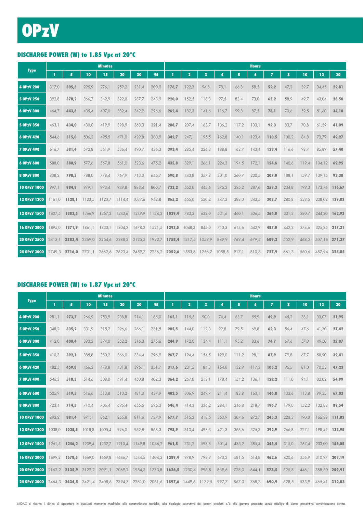## DISCHARGE POWER (W) to 1.85 Vpc at 20°C

|                   |        |        |                                                                              | <b>Minutes</b> |        |        |                      |        |                |                         |       |       | <b>Hours</b>     |                |       |       |               |        |
|-------------------|--------|--------|------------------------------------------------------------------------------|----------------|--------|--------|----------------------|--------|----------------|-------------------------|-------|-------|------------------|----------------|-------|-------|---------------|--------|
| <b>Type</b>       | т      | 5      | 10                                                                           | 15             | 20     | 30     | 45                   |        | $\overline{2}$ | $\overline{\mathbf{3}}$ | 4     | 5     | $\boldsymbol{6}$ | $\overline{ }$ | 8     | 10    | 12            | 20     |
| 4 OPzV 200        | 317,0  | 305,3  | 295,9                                                                        | 276,1          | 259,2  | 231,4  | 200,0                | 176,7  | 122,3          | 94,8                    | 78,1  | 66,8  | 58,5             | 52,2           | 47,2  | 39,7  | 34,45         | 22,81  |
| 5 OPzV 250        | 392,8  | 378,2  | 366,7                                                                        | 342,9          | 322,0  | 287,7  | 248,9                | 220,0  | 152,5          | 118,3                   | 97,5  | 83,4  | 73,0             | 65,2           | 58,9  | 49,7  | 43,04         | 28,50  |
| 6 OPzV 300        | 464,7  | 443,6  | 435,4                                                                        | 407,0          | 382,4  | 342,2  | 296,6                | 262,4  | 182,3          | 141,6                   | 116,7 | 99,8  | 87,5             | 78,1           | 70,6  | 59,5  | 51,60         | 34,18  |
| 5 OPzV 350        | 463,1  | 434,0  | 430,0                                                                        | 419,9          | 398,9  | 363,3  | 321,4                | 288,7  | 207,4          | 163,7                   | 136,2 | 117,2 | 103,1            | 92,3           | 83,7  | 70,8  | 61,59         | 41,09  |
| 6 OPzV 420        | 544,6  | 515,0  | 506,2                                                                        | 495,5          | 471,0  | 429,8  | 380,9                | 342,7  | 247,1          | 195,5                   | 162,8 | 140,1 | 123,4            | 110,5          | 100,2 | 84,8  | 73,79         | 49,27  |
| <b>7 OPzV 490</b> | 616,7  | 581,4  | 572,8                                                                        | 561,9          | 536,4  | 490,7  | 436,3                | 393,4  | 285,4          | 226,3                   | 188,8 | 162,7 | 143,4            | 128,4          | 116,6 | 98,7  | 85,89         | 57,40  |
| 6 OPzV 600        | 588,0  | 580,9  | 577,6                                                                        | 567,8          | 561,0  | 523,6  | 475,2                | 435,8  | 329,1          | 266,1                   | 224,3 | 194,5 | 172,1            | 154,6          | 140,6 | 119,4 | 104,12        | 69,95  |
| 8 OPzV 800        | 808,2  | 798,3  | 788,0                                                                        | 778,4          | 767,9  | 713,0  | 645,7                | 590,8  | 443,8          | 357,8                   | 301,0 | 260,7 | 230,5            | 207,0          | 188,1 | 159.7 | 139,15        | 93,38  |
| 10 OPzV 1000      | 997,1  | 984,9  | 979,1                                                                        | 973,4          | 949,8  | 883,4  | 800.7                | 733,2  | 552,0          | 445,6                   | 375,2 | 325,2 | 287,6            | 258,3          | 234,8 | 199,3 | 173.76        | 116,67 |
| 12 OPzV 1200      | 1161.0 | 1128,1 | 1123,5                                                                       | 1120,7         | 1114,4 | 1037,6 | 942,8                | 865,2  | 655,0          | 530,2                   | 447,3 | 388,0 | 343,5            | 308,7          | 280,8 | 238,5 | 208,02        | 139,83 |
| 12 OPzV 1500      | 1407.5 | 1383,5 | 1366,9                                                                       | 1357,2         | 1343,6 | 1249,9 | 1134,2               | 1039,4 | 783,3          | 632,0                   | 531,6 | 460,1 | 406,5            | 364,8          | 331,3 | 280,7 | 244,20        | 162.93 |
| 16 OPzV 2000      | 1895.0 | 1871.9 | 1861.1                                                                       | 1830,1         | 1804,2 |        | 1678.2 1521.5 1393.5 |        | 1048,3         | 845,0                   | 710,3 | 614,6 | 542,9            | 487,0          | 442,2 | 374,6 | 325,85        | 217,31 |
| 20 OPzV 2500      | 2413.1 | 2383,4 | 2369,0                                                                       | 2354,6         | 2288,3 | 2125,3 | 1922,7               | 1758,4 | 1317,5         | 1059.9                  | 889.9 | 769,4 | 679,3            | 609,2          | 552,9 | 468,2 | 407.16 271.37 |        |
| 24 OPzV 3000      |        |        | 2749,3 2716,0 2701,1 2662,6 2623,4 2459,7 2236,2 2052,6 1553,8 1256,7 1058,5 |                |        |        |                      |        |                |                         |       | 917,1 | 810,8            | 727,9          | 661,3 | 560,6 | 487.94 325.85 |        |

### DISCHARGE POWER (W) to 1.87 Vpc at 20°C

|                     |        |                                                                                     |        | <b>Minutes</b> |        |        |        |               |                         |       |       |       | <b>Hours</b>     |                |       |       |               |        |
|---------------------|--------|-------------------------------------------------------------------------------------|--------|----------------|--------|--------|--------|---------------|-------------------------|-------|-------|-------|------------------|----------------|-------|-------|---------------|--------|
| <b>Type</b>         | п      | 5                                                                                   | 10     | 15             | 20     | 30     | 45     |               | $\overline{\mathbf{2}}$ | 3     | л     | 5     | $\boldsymbol{6}$ | $\overline{ }$ | 8     | 10    | 12            | 20     |
| 4 OPzV 200          | 281,1  | 273,7                                                                               | 266,9  | 253,9          | 238,8  | 214,1  | 186,0  | 165,1         | 115,5                   | 90,0  | 74,4  | 63,7  | 55,9             | 49,9           | 45,2  | 38,1  | 33,07         | 21,95  |
| 5 OPzV 250          | 348,2  | 335,2                                                                               | 331,9  | 315,2          | 296,6  | 266,1  | 231,5  | 205,5         | 144,0                   | 112,3 | 92,8  | 79,5  | 69,8             | 62,3           | 56,4  | 47,6  | 41,30         | 27,42  |
| 6 OPzV 300          | 412,0  | 400,4                                                                               | 393,2  | 374,0          | 352,2  | 316,3  | 275,6  | 244,9         | 172,0                   | 134,4 | 111.1 | 95,2  | 83,6             | 74,7           | 67,6  | 57,0  | 49,50         | 32,87  |
| 5 OPzV 350          | 410,3  | 392,1                                                                               | 385,8  | 380,2          | 366,0  | 334,4  | 296,9  | 267,7         | 194,4                   | 154,5 | 129,0 | 111,2 | 98,1             | 87,9           | 79,8  | 67,7  | 58,90         | 39,41  |
| 6 OPzV 420          | 482,5  | 459,8                                                                               | 456,2  | 448,8          | 431,8  | 395,1  | 351,7  | 317,6         | 231,5                   | 184,3 | 154,0 | 132,9 | 117,3            | 105,2          | 95,5  | 81,0  | 70,53         | 47,23  |
| <b>7 OPzV 490</b>   | 546,3  | 518,5                                                                               | 514,6  | 508,0          | 491,4  | 450,8  | 402,3  | 364,2         | 267,0                   | 213,1 | 178,4 | 154,2 | 136,1            | 122,2          | 111,0 | 94,1  | 82,02         | 54,99  |
| 6 OPzV 600          | 525.9  | 519,5                                                                               | 516,6  | 513,8          | 510,2  | 481,0  | 437,9  | 402,5         | 306,9                   | 249,7 | 211,4 | 183,8 | 163,1            | 146,8          | 133,6 | 113,8 | 99,35         | 67,03  |
| 8 OPzV 800          | 723,4  | 714,5                                                                               | 710,4  | 706,4          | 695,4  | 655,5  | 595,3  | 546,4         | 414,3                   | 336,2 | 284,1 | 246,8 | 218,7            | 196,7          | 179,0 | 152,2 | 132,88        | 89,54  |
| <b>10 OPzV 1000</b> | 892,2  | 881,4                                                                               | 871,1  | 862,1          | 855,8  | 811,6  | 737,9  | 677,7         | 515,2                   | 418,5 | 353,9 | 307,6 | 272,7            | 245,3          | 223,3 | 190.0 | 165.88        | 111,83 |
| 12 OPzV 1200        | 1038.0 | 1025,5                                                                              | 1018,8 | 1005,4         | 996,0  | 952,8  | 868,3  | 798,9         | 610,4                   | 497,3 | 421,3 | 366,6 | 325,3            | 292,9          | 266,8 | 227,1 | 198,42 133,95 |        |
| 12 OPzV 1500        | 1261.5 | 1246,2                                                                              | 1239,4 | 1232,7         | 1210.4 | 1149,8 | 1046,2 | 961,5         | 731,2                   | 593,6 | 501,4 | 435,2 | 385,4            | 346,4          | 315,0 | 267.4 | 233,00        | 156,05 |
| 16 OPzV 2000        |        | 1699,2 1678,5                                                                       | 1669,0 | 1659,8         | 1646,7 | 1544,5 | 1404,2 | 1289,4        | 978,9                   | 793,9 | 670,2 | 581,5 | 514,8            | 462,6          | 420,6 | 356,9 | 310.97        | 208,19 |
| 20 OPzV 2500        |        | 2162,2 2135,9                                                                       | 2122,2 | 2091,1         | 2069,2 | 1954,3 |        | 1773,8 1626,5 | 1230,4                  | 995,8 | 839,6 | 728,0 | 644,1            | 578,5          | 525,8 | 446.1 | 388,50 259,91 |        |
| 24 OPzV 3000        |        | 2464,3 <b>2434,5</b> 2421,4 2408,6 2394,7 2261,0 2061,6 <b>1897,6</b> 1449,6 1179,5 |        |                |        |        |        |               |                         |       | 997,7 | 867,0 | 768,3            | 690,9          | 628,5 | 533,9 | 465.41 312.03 |        |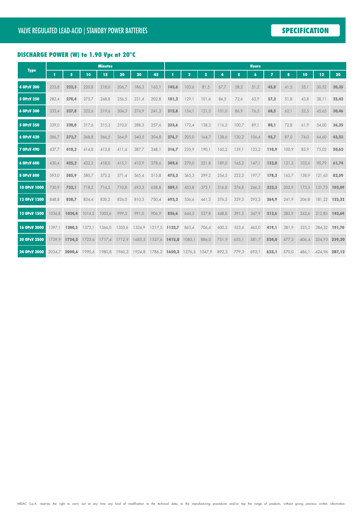## DISCHARGE POWER (W) to 1.90 Vpc at 20°C

|                   |        |               |        | <b>Minutes</b> |        |        |                                    |               |        |       |       |       | <b>Hours</b>     |                |       |       |               |        |
|-------------------|--------|---------------|--------|----------------|--------|--------|------------------------------------|---------------|--------|-------|-------|-------|------------------|----------------|-------|-------|---------------|--------|
| <b>Type</b>       | T      | 5             | 10     | 15             | 20     | 30     | 45                                 |               | 2      | 3     | 4     | 5     | $\boldsymbol{6}$ | $\overline{ }$ | 8     | 10    | 12            | 20     |
| 4 OPzV 200        | 225,8  | 222,3         | 220,8  | 218,0          | 206,7  | 186,3  | 163,1                              | 145.6         | 103.6  | 81,5  | 67,7  | 58,2  | 51,2             | 45,8           | 41,5  | 35,1  | 30,52         | 20,35  |
| 5 OPzV 250        | 282,4  | 278,4         | 275,7  | 268,8          | 256,5  | 231,4  | 202,8                              | 181.2         | 129.1  | 101,6 | 84,5  | 72,6  | 63,9             | 57,2           | 51,8  | 43,8  | 38,11         | 25,42  |
| 6 OPzV 300        | 333,4  | 327,8         | 322,6  | 319,6          | 304,3  | 274,9  | 241,3                              | 215,8         | 154,1  | 121,5 | 101,0 | 86,9  | 76,5             | 68,5           | 62,1  | 52,5  | 45,65         | 30,46  |
| 5 OPzV 350        | 329,0  | 320,0         | 317,6  | 315,3          | 310,0  | 288,3  | 257,6                              | 233,6         | 172,4  | 138,3 | 116,2 | 100,7 | 89,1             | 80,1           | 72,8  | 61,9  | 54,00         | 36,35  |
| 6 OPzV 420        | 386,7  | 372,7         | 368,8  | 366,5          | 364,9  | 340,5  | 304,8                              | 276,7         | 205,0  | 164,7 | 138,6 | 120,2 | 106,4            | 95,7           | 87,0  | 74,0  | 64,60         | 43,53  |
| <b>7 OPzV 490</b> | 437,7  | 418,2         | 414,8  | 412,8          | 411,4  | 387,7  | 348,1                              | 316,7         | 235,9  | 190,1 | 160,2 | 139,1 | 123,2            | 110,9          | 100,9 | 85,9  | 75,02         | 50,62  |
| 6 OPzV 600        | 430.4  | 425,2         | 422,2  | 418,0          | 415,1  | 410,9  | 378,6                              | 349,6         | 270,0  | 221,8 | 189,0 | 165,2 | 147,1            | 132,8          | 121,3 | 103,6 | 90,79         | 61,74  |
| 8 OPzV 800        | 593,0  | 585,9         | 580,7  | 575,2          | 571,4  | 565,4  | 515,8                              | 475,2         | 365,3  | 299,2 | 254,5 | 222,2 | 197,7            | 178,3          | 162,7 | 138,9 | 121,63        | 82,59  |
| 10 OPzV 1000      | 730.9  | 722,1         | 718,2  | 714,5          | 710,8  | 693,3  | 638,8                              | 589.1         | 453.8  | 372,1 | 316.8 | 276,8 | 246,3            | 222,3          | 202,9 | 173.3 | 151.73        | 103,09 |
| 12 OPzV 1200      | 848.8  | 838,7         | 834,4  | 830,2          | 826,0  | 810,3  | 750.4                              | 693.2         | 536,6  | 441,3 | 376,5 | 329,3 | 293,3            | 264,9          | 241.9 | 206.8 | 181.22        | 123,32 |
| 12 OPzV 1500      | 1036.8 | 1024,4        | 1014,2 | 1005,6         | 999,5  | 991,0  | 906,9                              | 836,6         | 644,5  | 527,8 | 448,8 | 391,5 | 347.9            | 313,6          | 285.9 | 243,6 | 212,85        | 143,64 |
| 16 OPzV 2000      | 1397.1 | 1380,3        | 1373,1 | 1366,0         | 1350,6 | 1324,9 | 1217,5 1122,7                      |               | 863,4  | 706,4 | 600,3 | 523,4 | 465,0            | 419,1          | 381,9 | 325,3 | 284,22        | 191,70 |
| 20 OPzV 2500      | 1759.9 | 1734,5        | 1723.6 | 1717.4         | 1712.9 | 1685.5 |                                    | 1537.6 1415.8 | 1085.1 | 886.0 | 751,9 | 655,1 | 581,7            | 524,0          | 477,3 | 406.4 | 354.93        | 239,20 |
| 24 OPzV 3000      |        | 2024.7 2000.6 | 1990.6 | 1980.8         | 1960,3 |        | 1924,8 1786,2 1650,2 1276,5 1047,9 |               |        |       | 892,3 | 779,3 | 693,1            | 625,1          | 570,0 | 486.1 | 424,96 287,12 |        |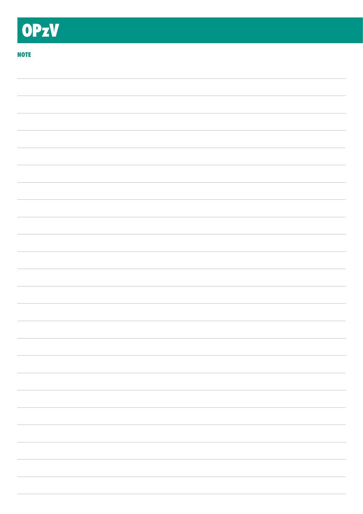### **NOTE**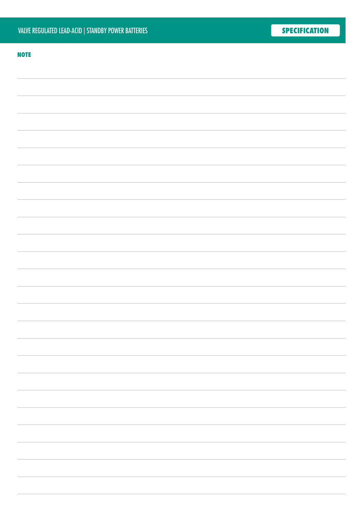#### **NOTE**